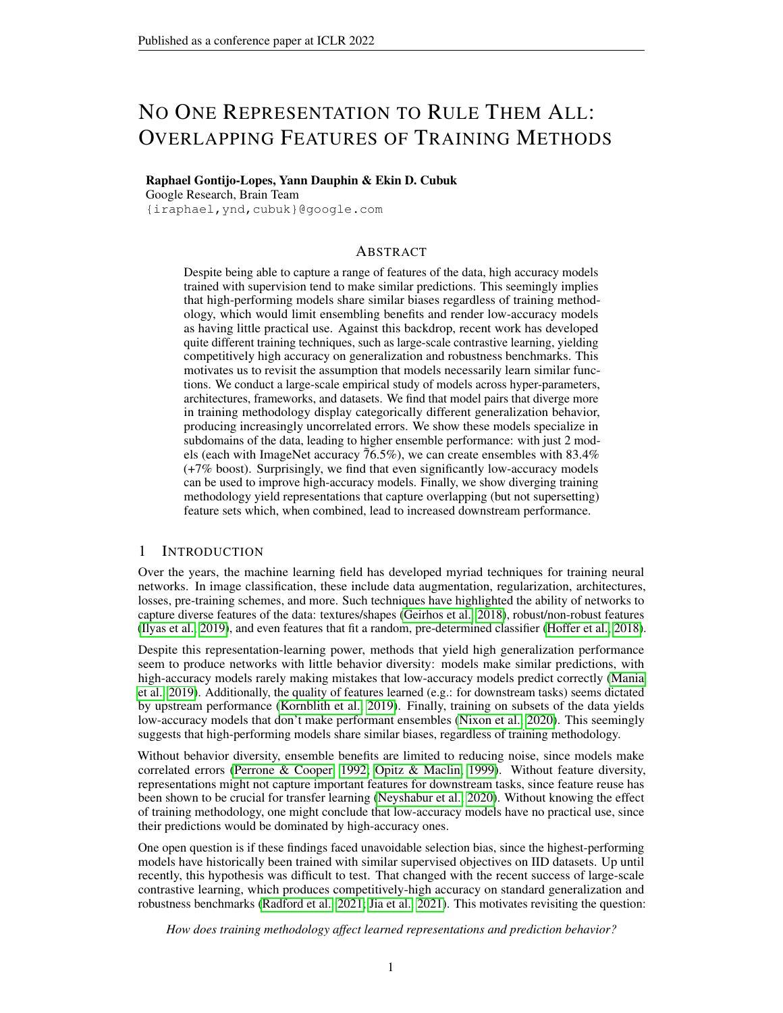# NO ONE REPRESENTATION TO RULE THEM ALL: OVERLAPPING FEATURES OF TRAINING METHODS

#### Raphael Gontijo-Lopes, Yann Dauphin & Ekin D. Cubuk

Google Research, Brain Team

{iraphael,ynd,cubuk}@google.com

# ABSTRACT

Despite being able to capture a range of features of the data, high accuracy models trained with supervision tend to make similar predictions. This seemingly implies that high-performing models share similar biases regardless of training methodology, which would limit ensembling benefits and render low-accuracy models as having little practical use. Against this backdrop, recent work has developed quite different training techniques, such as large-scale contrastive learning, yielding competitively high accuracy on generalization and robustness benchmarks. This motivates us to revisit the assumption that models necessarily learn similar functions. We conduct a large-scale empirical study of models across hyper-parameters, architectures, frameworks, and datasets. We find that model pairs that diverge more in training methodology display categorically different generalization behavior, producing increasingly uncorrelated errors. We show these models specialize in subdomains of the data, leading to higher ensemble performance: with just 2 models (each with ImageNet accuracy  $76.5\%$ ), we can create ensembles with 83.4% (+7% boost). Surprisingly, we find that even significantly low-accuracy models can be used to improve high-accuracy models. Finally, we show diverging training methodology yield representations that capture overlapping (but not supersetting) feature sets which, when combined, lead to increased downstream performance.

### 1 INTRODUCTION

Over the years, the machine learning field has developed myriad techniques for training neural networks. In image classification, these include data augmentation, regularization, architectures, losses, pre-training schemes, and more. Such techniques have highlighted the ability of networks to capture diverse features of the data: textures/shapes [\(Geirhos et al., 2018\)](#page-9-0), robust/non-robust features [\(Ilyas et al., 2019\)](#page-10-0), and even features that fit a random, pre-determined classifier [\(Hoffer et al., 2018\)](#page-10-1).

Despite this representation-learning power, methods that yield high generalization performance seem to produce networks with little behavior diversity: models make similar predictions, with high-accuracy models rarely making mistakes that low-accuracy models predict correctly [\(Mania](#page-11-0) [et al., 2019\)](#page-11-0). Additionally, the quality of features learned (e.g.: for downstream tasks) seems dictated by upstream performance [\(Kornblith et al., 2019\)](#page-10-2). Finally, training on subsets of the data yields low-accuracy models that don't make performant ensembles [\(Nixon et al., 2020\)](#page-11-1). This seemingly suggests that high-performing models share similar biases, regardless of training methodology.

Without behavior diversity, ensemble benefits are limited to reducing noise, since models make correlated errors [\(Perrone & Cooper, 1992;](#page-11-2) [Opitz & Maclin, 1999\)](#page-11-3). Without feature diversity, representations might not capture important features for downstream tasks, since feature reuse has been shown to be crucial for transfer learning [\(Neyshabur et al., 2020\)](#page-11-4). Without knowing the effect of training methodology, one might conclude that low-accuracy models have no practical use, since their predictions would be dominated by high-accuracy ones.

One open question is if these findings faced unavoidable selection bias, since the highest-performing models have historically been trained with similar supervised objectives on IID datasets. Up until recently, this hypothesis was difficult to test. That changed with the recent success of large-scale contrastive learning, which produces competitively-high accuracy on standard generalization and robustness benchmarks [\(Radford et al., 2021;](#page-11-5) [Jia et al., 2021\)](#page-10-3). This motivates revisiting the question:

*How does training methodology affect learned representations and prediction behavior?*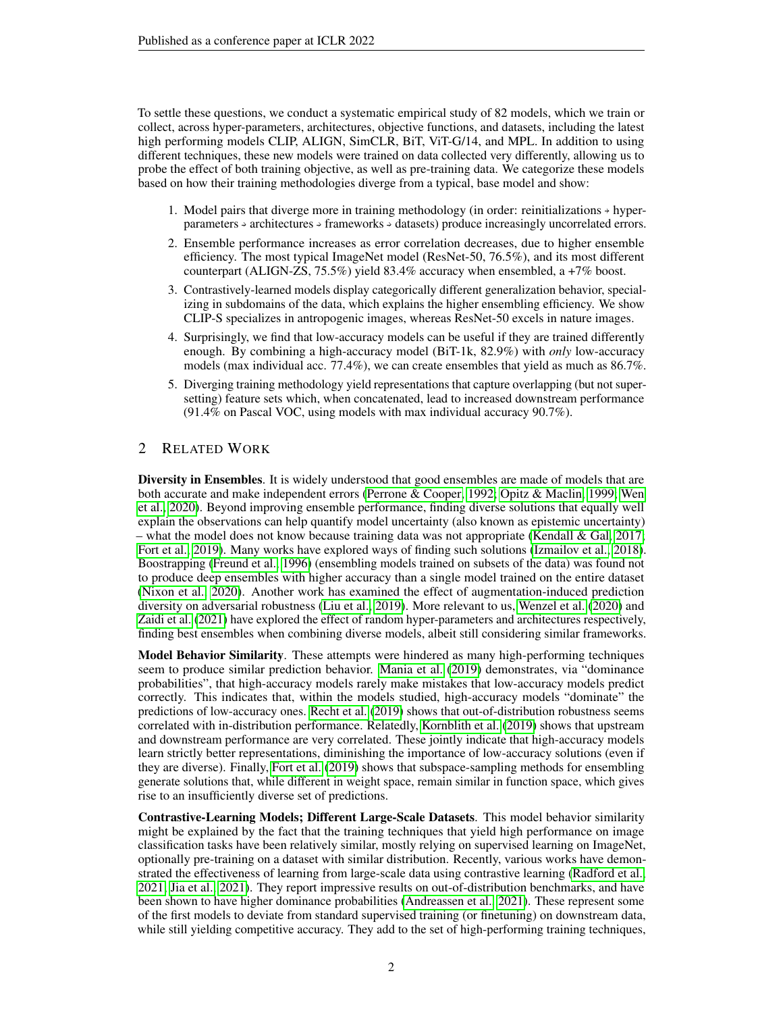To settle these questions, we conduct a systematic empirical study of 82 models, which we train or collect, across hyper-parameters, architectures, objective functions, and datasets, including the latest high performing models CLIP, ALIGN, SimCLR, BiT, ViT-G/14, and MPL. In addition to using different techniques, these new models were trained on data collected very differently, allowing us to probe the effect of both training objective, as well as pre-training data. We categorize these models based on how their training methodologies diverge from a typical, base model and show:

- 1. Model pairs that diverge more in training methodology (in order: reinitializations  $\rightarrow$  hyperparameters  $\rightarrow$  architectures  $\rightarrow$  frameworks  $\rightarrow$  datasets) produce increasingly uncorrelated errors.
- 2. Ensemble performance increases as error correlation decreases, due to higher ensemble efficiency. The most typical ImageNet model (ResNet-50, 76.5%), and its most different counterpart (ALIGN-ZS, 75.5%) yield 83.4% accuracy when ensembled, a +7% boost.
- 3. Contrastively-learned models display categorically different generalization behavior, specializing in subdomains of the data, which explains the higher ensembling efficiency. We show CLIP-S specializes in antropogenic images, whereas ResNet-50 excels in nature images.
- 4. Surprisingly, we find that low-accuracy models can be useful if they are trained differently enough. By combining a high-accuracy model (BiT-1k, 82.9%) with *only* low-accuracy models (max individual acc. 77.4%), we can create ensembles that yield as much as 86.7%.
- 5. Diverging training methodology yield representations that capture overlapping (but not supersetting) feature sets which, when concatenated, lead to increased downstream performance (91.4% on Pascal VOC, using models with max individual accuracy 90.7%).

# 2 RELATED WORK

Diversity in Ensembles. It is widely understood that good ensembles are made of models that are both accurate and make independent errors [\(Perrone & Cooper, 1992;](#page-11-2) [Opitz & Maclin, 1999;](#page-11-3) [Wen](#page-12-0) [et al., 2020\)](#page-12-0). Beyond improving ensemble performance, finding diverse solutions that equally well explain the observations can help quantify model uncertainty (also known as epistemic uncertainty) – what the model does not know because training data was not appropriate [\(Kendall & Gal, 2017;](#page-10-4) [Fort et al., 2019\)](#page-9-1). Many works have explored ways of finding such solutions [\(Izmailov et al., 2018\)](#page-10-5). Boostrapping [\(Freund et al., 1996\)](#page-9-2) (ensembling models trained on subsets of the data) was found not to produce deep ensembles with higher accuracy than a single model trained on the entire dataset [\(Nixon et al., 2020\)](#page-11-1). Another work has examined the effect of augmentation-induced prediction diversity on adversarial robustness [\(Liu et al., 2019\)](#page-10-6). More relevant to us, [Wenzel et al.](#page-12-1) [\(2020\)](#page-12-1) and [Zaidi et al.](#page-12-2) [\(2021\)](#page-12-2) have explored the effect of random hyper-parameters and architectures respectively, finding best ensembles when combining diverse models, albeit still considering similar frameworks.

Model Behavior Similarity. These attempts were hindered as many high-performing techniques seem to produce similar prediction behavior. [Mania et al.](#page-11-0) [\(2019\)](#page-11-0) demonstrates, via "dominance probabilities", that high-accuracy models rarely make mistakes that low-accuracy models predict correctly. This indicates that, within the models studied, high-accuracy models "dominate" the predictions of low-accuracy ones. [Recht et al.](#page-11-6) [\(2019\)](#page-11-6) shows that out-of-distribution robustness seems correlated with in-distribution performance. Relatedly, [Kornblith et al.](#page-10-2) [\(2019\)](#page-10-2) shows that upstream and downstream performance are very correlated. These jointly indicate that high-accuracy models learn strictly better representations, diminishing the importance of low-accuracy solutions (even if they are diverse). Finally, [Fort et al.](#page-9-1) [\(2019\)](#page-9-1) shows that subspace-sampling methods for ensembling generate solutions that, while different in weight space, remain similar in function space, which gives rise to an insufficiently diverse set of predictions.

Contrastive-Learning Models; Different Large-Scale Datasets. This model behavior similarity might be explained by the fact that the training techniques that yield high performance on image classification tasks have been relatively similar, mostly relying on supervised learning on ImageNet, optionally pre-training on a dataset with similar distribution. Recently, various works have demonstrated the effectiveness of learning from large-scale data using contrastive learning [\(Radford et al.,](#page-11-5) [2021;](#page-11-5) [Jia et al., 2021\)](#page-10-3). They report impressive results on out-of-distribution benchmarks, and have been shown to have higher dominance probabilities [\(Andreassen et al., 2021\)](#page-9-3). These represent some of the first models to deviate from standard supervised training (or finetuning) on downstream data, while still yielding competitive accuracy. They add to the set of high-performing training techniques,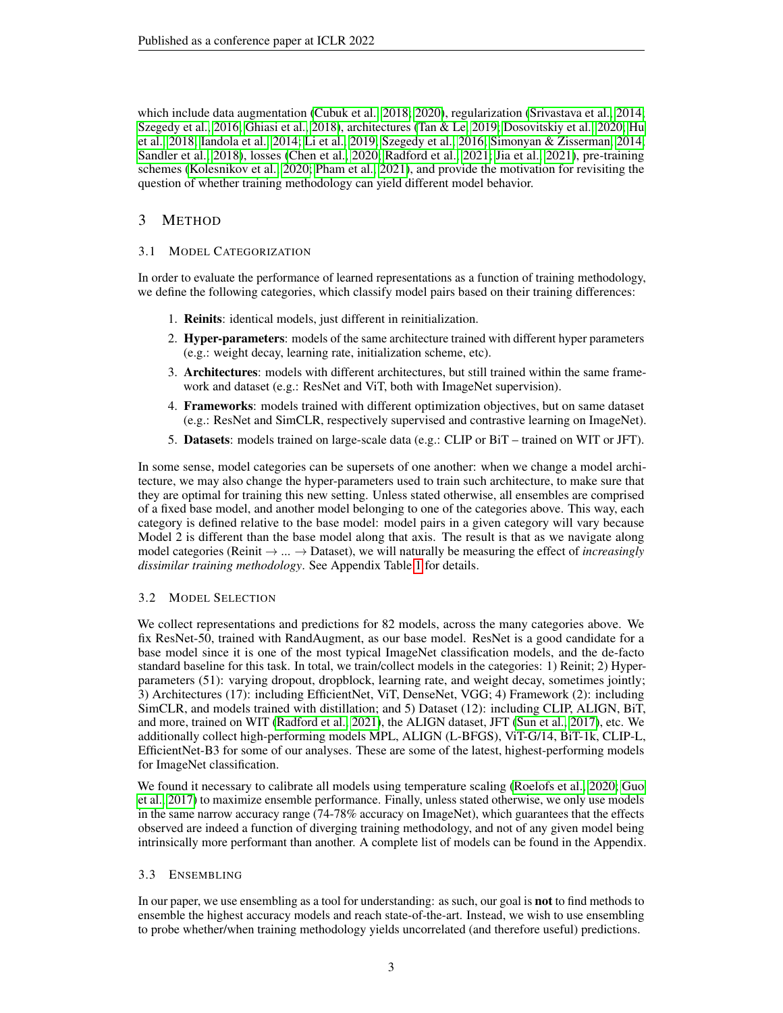which include data augmentation [\(Cubuk et al., 2018;](#page-9-4) [2020\)](#page-9-5), regularization [\(Srivastava et al., 2014;](#page-11-7) [Szegedy et al., 2016;](#page-11-8) [Ghiasi et al., 2018\)](#page-9-6), architectures [\(Tan & Le, 2019;](#page-11-9) [Dosovitskiy et al., 2020;](#page-9-7) [Hu](#page-10-7) [et al., 2018;](#page-10-7) [Iandola et al., 2014;](#page-10-8) [Li et al., 2019;](#page-10-9) [Szegedy et al., 2016;](#page-11-8) [Simonyan & Zisserman, 2014;](#page-11-10) [Sandler et al., 2018\)](#page-11-11), losses [\(Chen et al., 2020;](#page-9-8) [Radford et al., 2021;](#page-11-5) [Jia et al., 2021\)](#page-10-3), pre-training schemes [\(Kolesnikov et al., 2020;](#page-10-10) [Pham et al., 2021\)](#page-11-12), and provide the motivation for revisiting the question of whether training methodology can yield different model behavior.

# 3 METHOD

#### <span id="page-2-0"></span>3.1 MODEL CATEGORIZATION

In order to evaluate the performance of learned representations as a function of training methodology, we define the following categories, which classify model pairs based on their training differences:

- 1. Reinits: identical models, just different in reinitialization.
- 2. **Hyper-parameters**: models of the same architecture trained with different hyper parameters (e.g.: weight decay, learning rate, initialization scheme, etc).
- 3. Architectures: models with different architectures, but still trained within the same framework and dataset (e.g.: ResNet and ViT, both with ImageNet supervision).
- 4. Frameworks: models trained with different optimization objectives, but on same dataset (e.g.: ResNet and SimCLR, respectively supervised and contrastive learning on ImageNet).
- 5. Datasets: models trained on large-scale data (e.g.: CLIP or BiT trained on WIT or JFT).

In some sense, model categories can be supersets of one another: when we change a model architecture, we may also change the hyper-parameters used to train such architecture, to make sure that they are optimal for training this new setting. Unless stated otherwise, all ensembles are comprised of a fixed base model, and another model belonging to one of the categories above. This way, each category is defined relative to the base model: model pairs in a given category will vary because Model 2 is different than the base model along that axis. The result is that as we navigate along model categories (Reinit  $\rightarrow ... \rightarrow$  Dataset), we will naturally be measuring the effect of *increasingly dissimilar training methodology*. See Appendix Table [1](#page-14-0) for details.

#### 3.2 MODEL SELECTION

We collect representations and predictions for 82 models, across the many categories above. We fix ResNet-50, trained with RandAugment, as our base model. ResNet is a good candidate for a base model since it is one of the most typical ImageNet classification models, and the de-facto standard baseline for this task. In total, we train/collect models in the categories: 1) Reinit; 2) Hyperparameters (51): varying dropout, dropblock, learning rate, and weight decay, sometimes jointly; 3) Architectures (17): including EfficientNet, ViT, DenseNet, VGG; 4) Framework (2): including SimCLR, and models trained with distillation; and 5) Dataset (12): including CLIP, ALIGN, BiT, and more, trained on WIT [\(Radford et al., 2021\)](#page-11-5), the ALIGN dataset, JFT [\(Sun et al., 2017\)](#page-11-13), etc. We additionally collect high-performing models MPL, ALIGN (L-BFGS), ViT-G/14, BiT-1k, CLIP-L, EfficientNet-B3 for some of our analyses. These are some of the latest, highest-performing models for ImageNet classification.

We found it necessary to calibrate all models using temperature scaling [\(Roelofs et al., 2020;](#page-11-14) [Guo](#page-10-11) [et al., 2017\)](#page-10-11) to maximize ensemble performance. Finally, unless stated otherwise, we only use models in the same narrow accuracy range (74-78% accuracy on ImageNet), which guarantees that the effects observed are indeed a function of diverging training methodology, and not of any given model being intrinsically more performant than another. A complete list of models can be found in the Appendix.

#### 3.3 ENSEMBLING

In our paper, we use ensembling as a tool for understanding: as such, our goal is not to find methods to ensemble the highest accuracy models and reach state-of-the-art. Instead, we wish to use ensembling to probe whether/when training methodology yields uncorrelated (and therefore useful) predictions.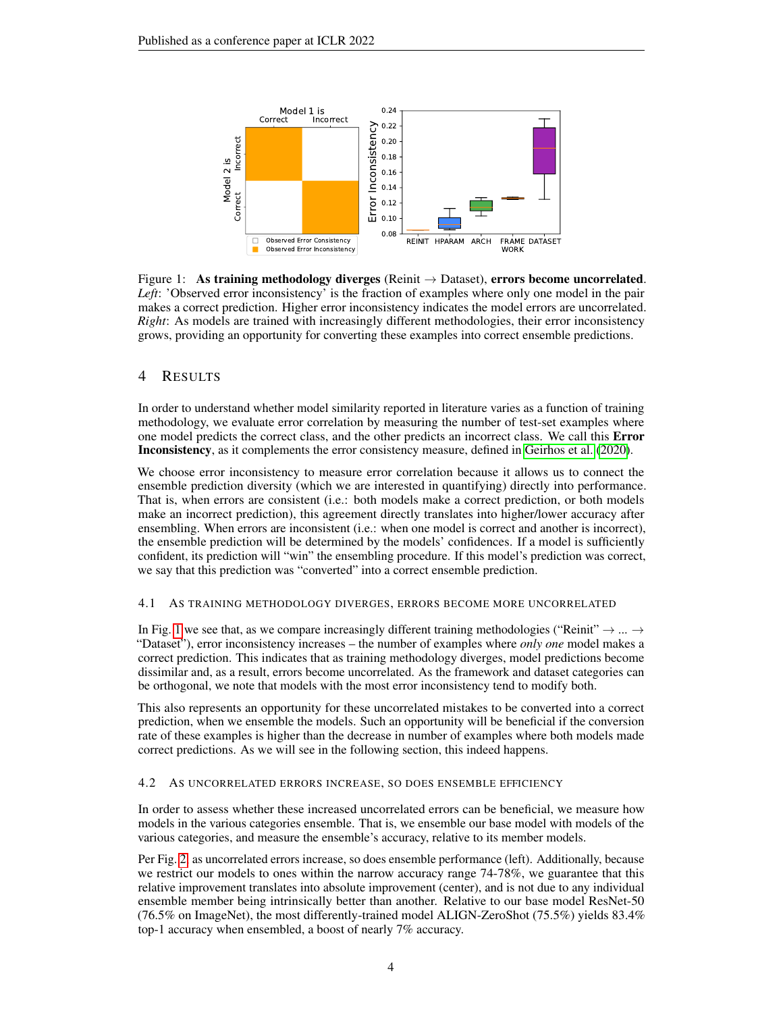

<span id="page-3-0"></span>Figure 1: As training methodology diverges (Reinit  $\rightarrow$  Dataset), errors become uncorrelated. *Left*: 'Observed error inconsistency' is the fraction of examples where only one model in the pair makes a correct prediction. Higher error inconsistency indicates the model errors are uncorrelated. *Right*: As models are trained with increasingly different methodologies, their error inconsistency grows, providing an opportunity for converting these examples into correct ensemble predictions.

# 4 RESULTS

In order to understand whether model similarity reported in literature varies as a function of training methodology, we evaluate error correlation by measuring the number of test-set examples where one model predicts the correct class, and the other predicts an incorrect class. We call this Error Inconsistency, as it complements the error consistency measure, defined in [Geirhos et al.](#page-9-9) [\(2020\)](#page-9-9).

We choose error inconsistency to measure error correlation because it allows us to connect the ensemble prediction diversity (which we are interested in quantifying) directly into performance. That is, when errors are consistent (i.e.: both models make a correct prediction, or both models make an incorrect prediction), this agreement directly translates into higher/lower accuracy after ensembling. When errors are inconsistent (i.e.: when one model is correct and another is incorrect), the ensemble prediction will be determined by the models' confidences. If a model is sufficiently confident, its prediction will "win" the ensembling procedure. If this model's prediction was correct, we say that this prediction was "converted" into a correct ensemble prediction.

#### 4.1 AS TRAINING METHODOLOGY DIVERGES, ERRORS BECOME MORE UNCORRELATED

In Fig. [1](#page-3-0) we see that, as we compare increasingly different training methodologies ("Reinit"  $\rightarrow$  ...  $\rightarrow$ "Dataset"), error inconsistency increases – the number of examples where *only one* model makes a correct prediction. This indicates that as training methodology diverges, model predictions become dissimilar and, as a result, errors become uncorrelated. As the framework and dataset categories can be orthogonal, we note that models with the most error inconsistency tend to modify both.

This also represents an opportunity for these uncorrelated mistakes to be converted into a correct prediction, when we ensemble the models. Such an opportunity will be beneficial if the conversion rate of these examples is higher than the decrease in number of examples where both models made correct predictions. As we will see in the following section, this indeed happens.

#### 4.2 AS UNCORRELATED ERRORS INCREASE, SO DOES ENSEMBLE EFFICIENCY

In order to assess whether these increased uncorrelated errors can be beneficial, we measure how models in the various categories ensemble. That is, we ensemble our base model with models of the various categories, and measure the ensemble's accuracy, relative to its member models.

Per Fig. [2,](#page-4-0) as uncorrelated errors increase, so does ensemble performance (left). Additionally, because we restrict our models to ones within the narrow accuracy range 74-78%, we guarantee that this relative improvement translates into absolute improvement (center), and is not due to any individual ensemble member being intrinsically better than another. Relative to our base model ResNet-50 (76.5% on ImageNet), the most differently-trained model ALIGN-ZeroShot (75.5%) yields 83.4% top-1 accuracy when ensembled, a boost of nearly 7% accuracy.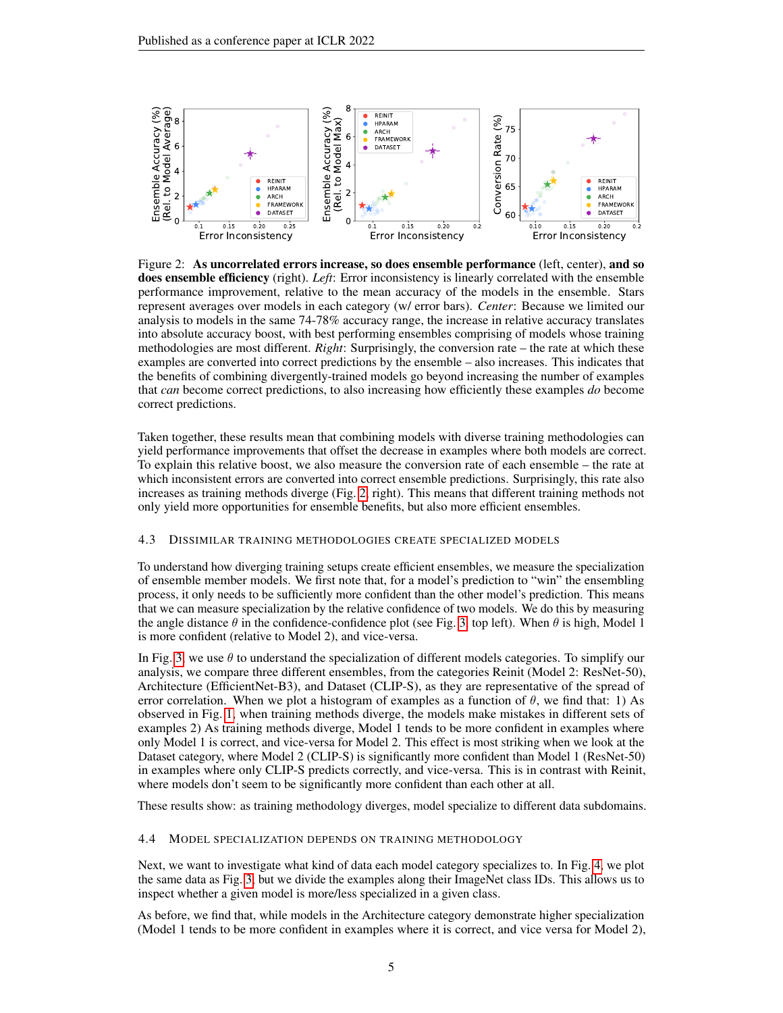

<span id="page-4-0"></span>Figure 2: As uncorrelated errors increase, so does ensemble performance (left, center), and so does ensemble efficiency (right). *Left*: Error inconsistency is linearly correlated with the ensemble performance improvement, relative to the mean accuracy of the models in the ensemble. Stars represent averages over models in each category (w/ error bars). *Center*: Because we limited our analysis to models in the same 74-78% accuracy range, the increase in relative accuracy translates into absolute accuracy boost, with best performing ensembles comprising of models whose training methodologies are most different. *Right*: Surprisingly, the conversion rate – the rate at which these examples are converted into correct predictions by the ensemble – also increases. This indicates that the benefits of combining divergently-trained models go beyond increasing the number of examples that *can* become correct predictions, to also increasing how efficiently these examples *do* become correct predictions.

Taken together, these results mean that combining models with diverse training methodologies can yield performance improvements that offset the decrease in examples where both models are correct. To explain this relative boost, we also measure the conversion rate of each ensemble – the rate at which inconsistent errors are converted into correct ensemble predictions. Surprisingly, this rate also increases as training methods diverge (Fig. [2,](#page-4-0) right). This means that different training methods not only yield more opportunities for ensemble benefits, but also more efficient ensembles.

#### 4.3 DISSIMILAR TRAINING METHODOLOGIES CREATE SPECIALIZED MODELS

To understand how diverging training setups create efficient ensembles, we measure the specialization of ensemble member models. We first note that, for a model's prediction to "win" the ensembling process, it only needs to be sufficiently more confident than the other model's prediction. This means that we can measure specialization by the relative confidence of two models. We do this by measuring the angle distance  $\theta$  in the confidence-confidence plot (see Fig. [3,](#page-5-0) top left). When  $\theta$  is high, Model 1 is more confident (relative to Model 2), and vice-versa.

In Fig. [3,](#page-5-0) we use  $\theta$  to understand the specialization of different models categories. To simplify our analysis, we compare three different ensembles, from the categories Reinit (Model 2: ResNet-50), Architecture (EfficientNet-B3), and Dataset (CLIP-S), as they are representative of the spread of error correlation. When we plot a histogram of examples as a function of  $\theta$ , we find that: 1) As observed in Fig. [1,](#page-3-0) when training methods diverge, the models make mistakes in different sets of examples 2) As training methods diverge, Model 1 tends to be more confident in examples where only Model 1 is correct, and vice-versa for Model 2. This effect is most striking when we look at the Dataset category, where Model 2 (CLIP-S) is significantly more confident than Model 1 (ResNet-50) in examples where only CLIP-S predicts correctly, and vice-versa. This is in contrast with Reinit, where models don't seem to be significantly more confident than each other at all.

These results show: as training methodology diverges, model specialize to different data subdomains.

#### 4.4 MODEL SPECIALIZATION DEPENDS ON TRAINING METHODOLOGY

Next, we want to investigate what kind of data each model category specializes to. In Fig. [4,](#page-5-1) we plot the same data as Fig. [3,](#page-5-0) but we divide the examples along their ImageNet class IDs. This allows us to inspect whether a given model is more/less specialized in a given class.

As before, we find that, while models in the Architecture category demonstrate higher specialization (Model 1 tends to be more confident in examples where it is correct, and vice versa for Model 2),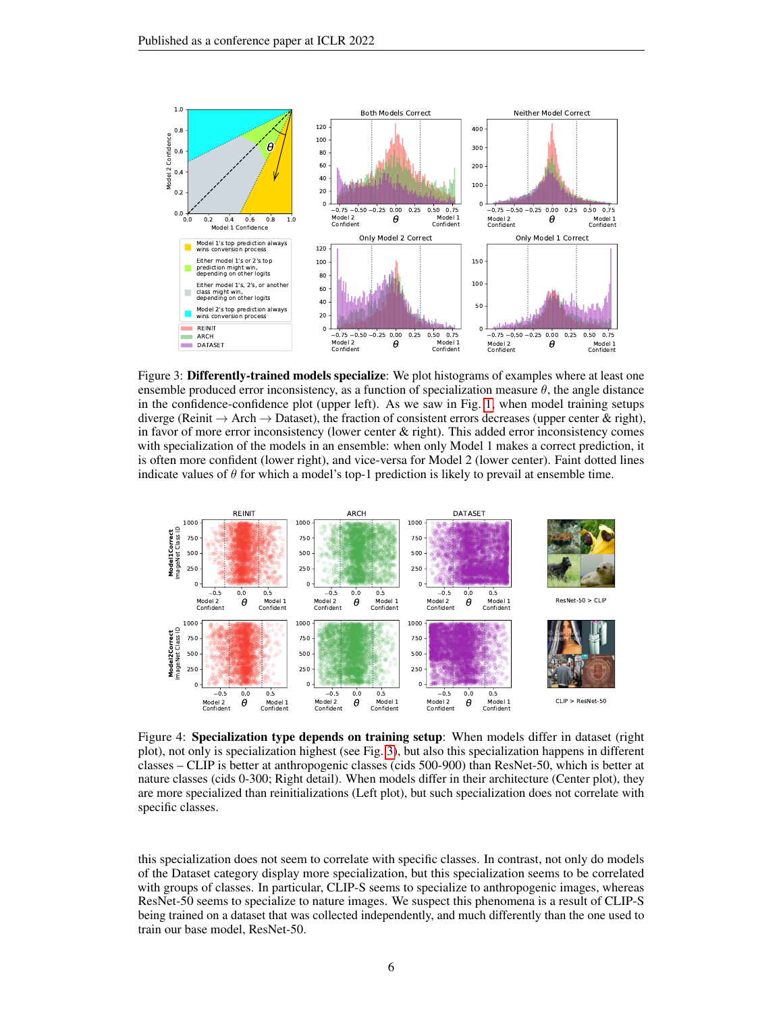

<span id="page-5-0"></span>Figure 3: Differently-trained models specialize: We plot histograms of examples where at least one ensemble produced error inconsistency, as a function of specialization measure  $\theta$ , the angle distance in the confidence-confidence plot (upper left). As we saw in Fig. [1,](#page-3-0) when model training setups diverge (Reinit  $\rightarrow$  Arch  $\rightarrow$  Dataset), the fraction of consistent errors decreases (upper center & right), in favor of more error inconsistency (lower center  $\&$  right). This added error inconsistency comes with specialization of the models in an ensemble: when only Model 1 makes a correct prediction, it is often more confident (lower right), and vice-versa for Model 2 (lower center). Faint dotted lines indicate values of  $\theta$  for which a model's top-1 prediction is likely to prevail at ensemble time.



<span id="page-5-1"></span>Figure 4: Specialization type depends on training setup: When models differ in dataset (right plot), not only is specialization highest (see Fig. [3\)](#page-5-0), but also this specialization happens in different classes – CLIP is better at anthropogenic classes (cids 500-900) than ResNet-50, which is better at nature classes (cids 0-300; Right detail). When models differ in their architecture (Center plot), they are more specialized than reinitializations (Left plot), but such specialization does not correlate with specific classes.

this specialization does not seem to correlate with specific classes. In contrast, not only do models of the Dataset category display more specialization, but this specialization seems to be correlated with groups of classes. In particular, CLIP-S seems to specialize to anthropogenic images, whereas ResNet-50 seems to specialize to nature images. We suspect this phenomena is a result of CLIP-S being trained on a dataset that was collected independently, and much differently than the one used to train our base model, ResNet-50.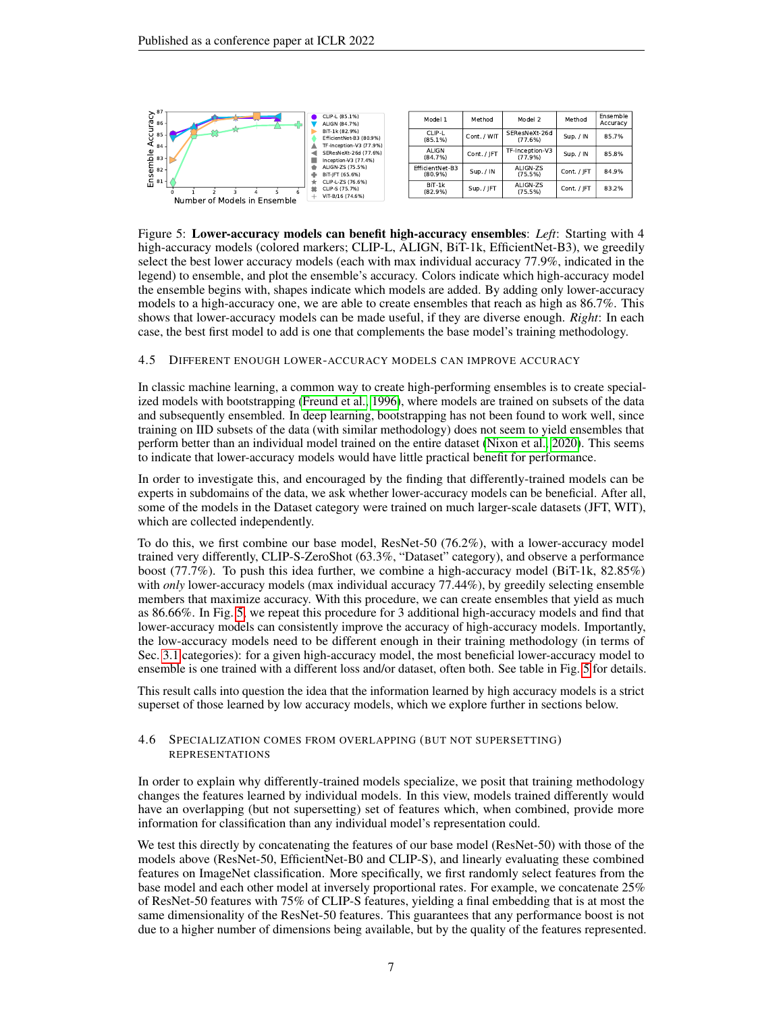

<span id="page-6-0"></span>Figure 5: Lower-accuracy models can benefit high-accuracy ensembles: *Left*: Starting with 4 high-accuracy models (colored markers; CLIP-L, ALIGN, BiT-1k, EfficientNet-B3), we greedily select the best lower accuracy models (each with max individual accuracy 77.9%, indicated in the legend) to ensemble, and plot the ensemble's accuracy. Colors indicate which high-accuracy model the ensemble begins with, shapes indicate which models are added. By adding only lower-accuracy models to a high-accuracy one, we are able to create ensembles that reach as high as 86.7%. This shows that lower-accuracy models can be made useful, if they are diverse enough. *Right*: In each case, the best first model to add is one that complements the base model's training methodology.

#### <span id="page-6-1"></span>4.5 DIFFERENT ENOUGH LOWER-ACCURACY MODELS CAN IMPROVE ACCURACY

In classic machine learning, a common way to create high-performing ensembles is to create specialized models with bootstrapping [\(Freund et al., 1996\)](#page-9-2), where models are trained on subsets of the data and subsequently ensembled. In deep learning, bootstrapping has not been found to work well, since training on IID subsets of the data (with similar methodology) does not seem to yield ensembles that perform better than an individual model trained on the entire dataset [\(Nixon et al., 2020\)](#page-11-1). This seems to indicate that lower-accuracy models would have little practical benefit for performance.

In order to investigate this, and encouraged by the finding that differently-trained models can be experts in subdomains of the data, we ask whether lower-accuracy models can be beneficial. After all, some of the models in the Dataset category were trained on much larger-scale datasets (JFT, WIT), which are collected independently.

To do this, we first combine our base model, ResNet-50 (76.2%), with a lower-accuracy model trained very differently, CLIP-S-ZeroShot (63.3%, "Dataset" category), and observe a performance boost (77.7%). To push this idea further, we combine a high-accuracy model (BiT-1k, 82.85%) with *only* lower-accuracy models (max individual accuracy 77.44%), by greedily selecting ensemble members that maximize accuracy. With this procedure, we can create ensembles that yield as much as 86.66%. In Fig. [5,](#page-6-0) we repeat this procedure for 3 additional high-accuracy models and find that lower-accuracy models can consistently improve the accuracy of high-accuracy models. Importantly, the low-accuracy models need to be different enough in their training methodology (in terms of Sec. [3.1](#page-2-0) categories): for a given high-accuracy model, the most beneficial lower-accuracy model to ensemble is one trained with a different loss and/or dataset, often both. See table in Fig. [5](#page-6-0) for details.

This result calls into question the idea that the information learned by high accuracy models is a strict superset of those learned by low accuracy models, which we explore further in sections below.

#### <span id="page-6-2"></span>4.6 SPECIALIZATION COMES FROM OVERLAPPING (BUT NOT SUPERSETTING) REPRESENTATIONS

In order to explain why differently-trained models specialize, we posit that training methodology changes the features learned by individual models. In this view, models trained differently would have an overlapping (but not supersetting) set of features which, when combined, provide more information for classification than any individual model's representation could.

We test this directly by concatenating the features of our base model (ResNet-50) with those of the models above (ResNet-50, EfficientNet-B0 and CLIP-S), and linearly evaluating these combined features on ImageNet classification. More specifically, we first randomly select features from the base model and each other model at inversely proportional rates. For example, we concatenate 25% of ResNet-50 features with 75% of CLIP-S features, yielding a final embedding that is at most the same dimensionality of the ResNet-50 features. This guarantees that any performance boost is not due to a higher number of dimensions being available, but by the quality of the features represented.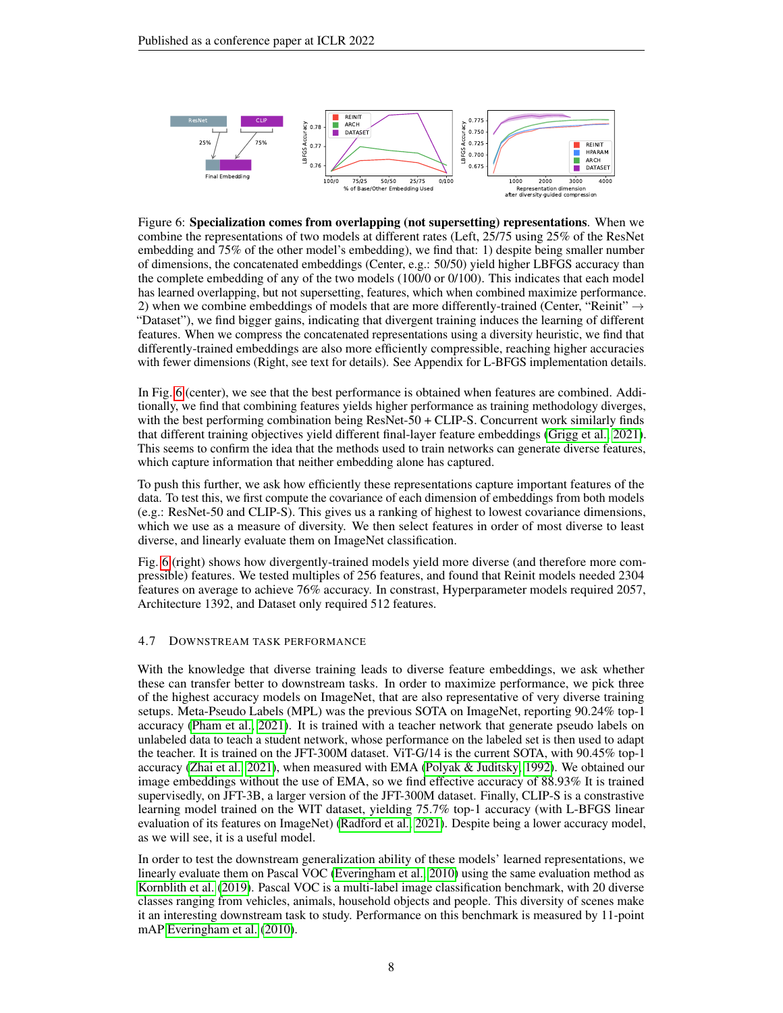

<span id="page-7-0"></span>Figure 6: Specialization comes from overlapping (not supersetting) representations. When we combine the representations of two models at different rates (Left, 25/75 using 25% of the ResNet embedding and 75% of the other model's embedding), we find that: 1) despite being smaller number of dimensions, the concatenated embeddings (Center, e.g.: 50/50) yield higher LBFGS accuracy than the complete embedding of any of the two models (100/0 or 0/100). This indicates that each model has learned overlapping, but not supersetting, features, which when combined maximize performance. 2) when we combine embeddings of models that are more differently-trained (Center, "Reinit"  $\rightarrow$ "Dataset"), we find bigger gains, indicating that divergent training induces the learning of different features. When we compress the concatenated representations using a diversity heuristic, we find that differently-trained embeddings are also more efficiently compressible, reaching higher accuracies with fewer dimensions (Right, see text for details). See Appendix for L-BFGS implementation details.

In Fig. [6](#page-7-0) (center), we see that the best performance is obtained when features are combined. Additionally, we find that combining features yields higher performance as training methodology diverges, with the best performing combination being ResNet-50 + CLIP-S. Concurrent work similarly finds that different training objectives yield different final-layer feature embeddings [\(Grigg et al., 2021\)](#page-10-12). This seems to confirm the idea that the methods used to train networks can generate diverse features, which capture information that neither embedding alone has captured.

To push this further, we ask how efficiently these representations capture important features of the data. To test this, we first compute the covariance of each dimension of embeddings from both models (e.g.: ResNet-50 and CLIP-S). This gives us a ranking of highest to lowest covariance dimensions, which we use as a measure of diversity. We then select features in order of most diverse to least diverse, and linearly evaluate them on ImageNet classification.

Fig. [6](#page-7-0) (right) shows how divergently-trained models yield more diverse (and therefore more compressible) features. We tested multiples of 256 features, and found that Reinit models needed 2304 features on average to achieve 76% accuracy. In constrast, Hyperparameter models required 2057, Architecture 1392, and Dataset only required 512 features.

#### <span id="page-7-1"></span>4.7 DOWNSTREAM TASK PERFORMANCE

With the knowledge that diverse training leads to diverse feature embeddings, we ask whether these can transfer better to downstream tasks. In order to maximize performance, we pick three of the highest accuracy models on ImageNet, that are also representative of very diverse training setups. Meta-Pseudo Labels (MPL) was the previous SOTA on ImageNet, reporting 90.24% top-1 accuracy [\(Pham et al., 2021\)](#page-11-12). It is trained with a teacher network that generate pseudo labels on unlabeled data to teach a student network, whose performance on the labeled set is then used to adapt the teacher. It is trained on the JFT-300M dataset. ViT-G/14 is the current SOTA, with 90.45% top-1 accuracy [\(Zhai et al., 2021\)](#page-12-3), when measured with EMA [\(Polyak & Juditsky, 1992\)](#page-11-15). We obtained our image embeddings without the use of EMA, so we find effective accuracy of 88.93% It is trained supervisedly, on JFT-3B, a larger version of the JFT-300M dataset. Finally, CLIP-S is a constrastive learning model trained on the WIT dataset, yielding 75.7% top-1 accuracy (with L-BFGS linear evaluation of its features on ImageNet) [\(Radford et al., 2021\)](#page-11-5). Despite being a lower accuracy model, as we will see, it is a useful model.

In order to test the downstream generalization ability of these models' learned representations, we linearly evaluate them on Pascal VOC [\(Everingham et al., 2010\)](#page-9-10) using the same evaluation method as [Kornblith et al.](#page-10-2) [\(2019\)](#page-10-2). Pascal VOC is a multi-label image classification benchmark, with 20 diverse classes ranging from vehicles, animals, household objects and people. This diversity of scenes make it an interesting downstream task to study. Performance on this benchmark is measured by 11-point mAP [Everingham et al.](#page-9-10) [\(2010\)](#page-9-10).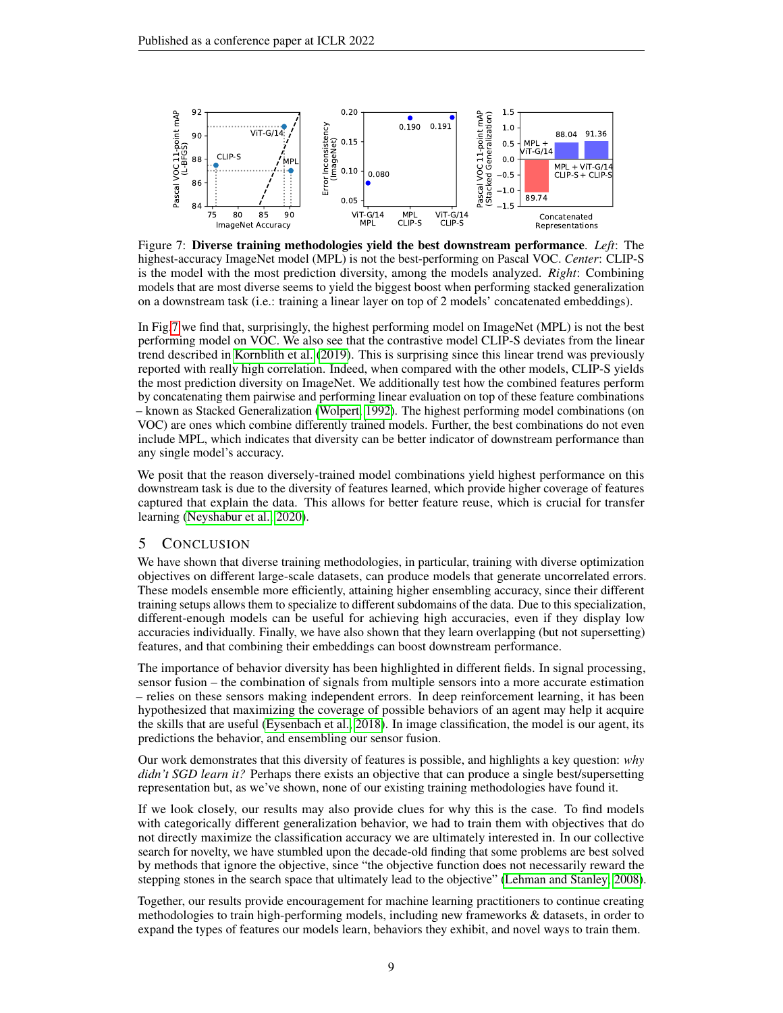

<span id="page-8-0"></span>Figure 7: Diverse training methodologies yield the best downstream performance. *Left*: The highest-accuracy ImageNet model (MPL) is not the best-performing on Pascal VOC. *Center*: CLIP-S is the model with the most prediction diversity, among the models analyzed. *Right*: Combining models that are most diverse seems to yield the biggest boost when performing stacked generalization on a downstream task (i.e.: training a linear layer on top of 2 models' concatenated embeddings).

In Fig[.7](#page-8-0) we find that, surprisingly, the highest performing model on ImageNet (MPL) is not the best performing model on VOC. We also see that the contrastive model CLIP-S deviates from the linear trend described in [Kornblith et al.](#page-10-2) [\(2019\)](#page-10-2). This is surprising since this linear trend was previously reported with really high correlation. Indeed, when compared with the other models, CLIP-S yields the most prediction diversity on ImageNet. We additionally test how the combined features perform by concatenating them pairwise and performing linear evaluation on top of these feature combinations – known as Stacked Generalization [\(Wolpert, 1992\)](#page-12-4). The highest performing model combinations (on VOC) are ones which combine differently trained models. Further, the best combinations do not even include MPL, which indicates that diversity can be better indicator of downstream performance than any single model's accuracy.

We posit that the reason diversely-trained model combinations yield highest performance on this downstream task is due to the diversity of features learned, which provide higher coverage of features captured that explain the data. This allows for better feature reuse, which is crucial for transfer learning [\(Neyshabur et al., 2020\)](#page-11-4).

#### 5 CONCLUSION

We have shown that diverse training methodologies, in particular, training with diverse optimization objectives on different large-scale datasets, can produce models that generate uncorrelated errors. These models ensemble more efficiently, attaining higher ensembling accuracy, since their different training setups allows them to specialize to different subdomains of the data. Due to this specialization, different-enough models can be useful for achieving high accuracies, even if they display low accuracies individually. Finally, we have also shown that they learn overlapping (but not supersetting) features, and that combining their embeddings can boost downstream performance.

The importance of behavior diversity has been highlighted in different fields. In signal processing, sensor fusion – the combination of signals from multiple sensors into a more accurate estimation – relies on these sensors making independent errors. In deep reinforcement learning, it has been hypothesized that maximizing the coverage of possible behaviors of an agent may help it acquire the skills that are useful [\(Eysenbach et al., 2018\)](#page-9-11). In image classification, the model is our agent, its predictions the behavior, and ensembling our sensor fusion.

Our work demonstrates that this diversity of features is possible, and highlights a key question: *why didn't SGD learn it?* Perhaps there exists an objective that can produce a single best/supersetting representation but, as we've shown, none of our existing training methodologies have found it.

If we look closely, our results may also provide clues for why this is the case. To find models with categorically different generalization behavior, we had to train them with objectives that do not directly maximize the classification accuracy we are ultimately interested in. In our collective search for novelty, we have stumbled upon the decade-old finding that some problems are best solved by methods that ignore the objective, since "the objective function does not necessarily reward the stepping stones in the search space that ultimately lead to the objective" [\(Lehman and Stanley, 2008\)](#page-10-13).

Together, our results provide encouragement for machine learning practitioners to continue creating methodologies to train high-performing models, including new frameworks & datasets, in order to expand the types of features our models learn, behaviors they exhibit, and novel ways to train them.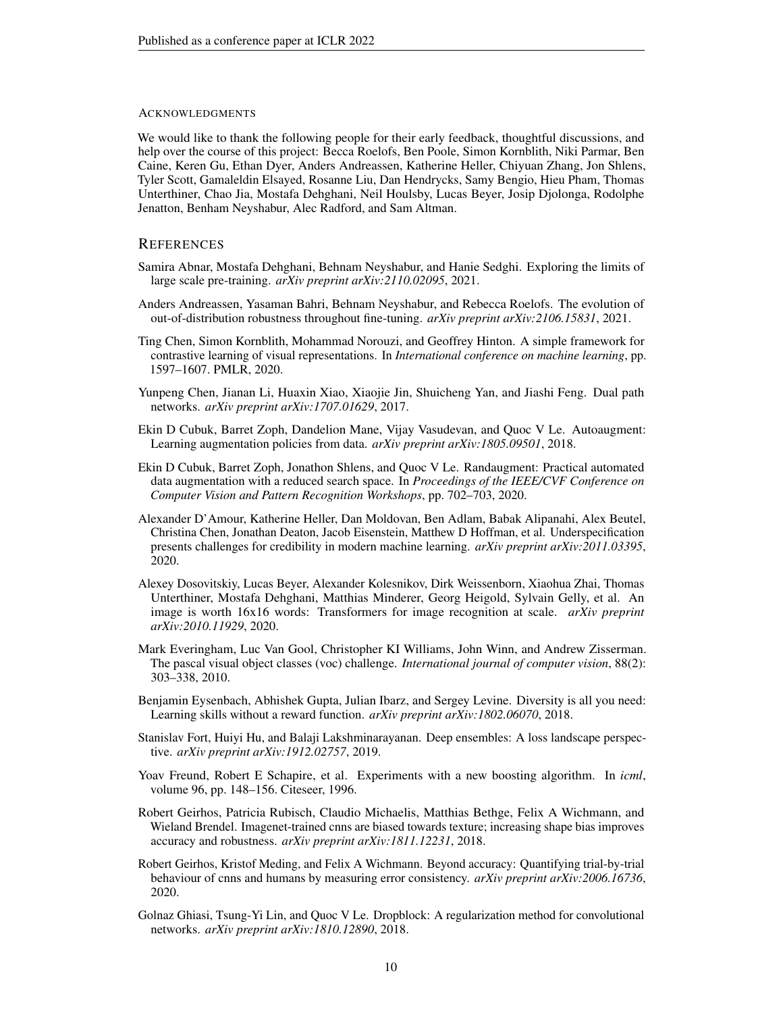#### ACKNOWLEDGMENTS

We would like to thank the following people for their early feedback, thoughtful discussions, and help over the course of this project: Becca Roelofs, Ben Poole, Simon Kornblith, Niki Parmar, Ben Caine, Keren Gu, Ethan Dyer, Anders Andreassen, Katherine Heller, Chiyuan Zhang, Jon Shlens, Tyler Scott, Gamaleldin Elsayed, Rosanne Liu, Dan Hendrycks, Samy Bengio, Hieu Pham, Thomas Unterthiner, Chao Jia, Mostafa Dehghani, Neil Houlsby, Lucas Beyer, Josip Djolonga, Rodolphe Jenatton, Benham Neyshabur, Alec Radford, and Sam Altman.

#### **REFERENCES**

- <span id="page-9-12"></span>Samira Abnar, Mostafa Dehghani, Behnam Neyshabur, and Hanie Sedghi. Exploring the limits of large scale pre-training. *arXiv preprint arXiv:2110.02095*, 2021.
- <span id="page-9-3"></span>Anders Andreassen, Yasaman Bahri, Behnam Neyshabur, and Rebecca Roelofs. The evolution of out-of-distribution robustness throughout fine-tuning. *arXiv preprint arXiv:2106.15831*, 2021.
- <span id="page-9-8"></span>Ting Chen, Simon Kornblith, Mohammad Norouzi, and Geoffrey Hinton. A simple framework for contrastive learning of visual representations. In *International conference on machine learning*, pp. 1597–1607. PMLR, 2020.
- <span id="page-9-14"></span>Yunpeng Chen, Jianan Li, Huaxin Xiao, Xiaojie Jin, Shuicheng Yan, and Jiashi Feng. Dual path networks. *arXiv preprint arXiv:1707.01629*, 2017.
- <span id="page-9-4"></span>Ekin D Cubuk, Barret Zoph, Dandelion Mane, Vijay Vasudevan, and Quoc V Le. Autoaugment: Learning augmentation policies from data. *arXiv preprint arXiv:1805.09501*, 2018.
- <span id="page-9-5"></span>Ekin D Cubuk, Barret Zoph, Jonathon Shlens, and Quoc V Le. Randaugment: Practical automated data augmentation with a reduced search space. In *Proceedings of the IEEE/CVF Conference on Computer Vision and Pattern Recognition Workshops*, pp. 702–703, 2020.
- <span id="page-9-13"></span>Alexander D'Amour, Katherine Heller, Dan Moldovan, Ben Adlam, Babak Alipanahi, Alex Beutel, Christina Chen, Jonathan Deaton, Jacob Eisenstein, Matthew D Hoffman, et al. Underspecification presents challenges for credibility in modern machine learning. *arXiv preprint arXiv:2011.03395*, 2020.
- <span id="page-9-7"></span>Alexey Dosovitskiy, Lucas Beyer, Alexander Kolesnikov, Dirk Weissenborn, Xiaohua Zhai, Thomas Unterthiner, Mostafa Dehghani, Matthias Minderer, Georg Heigold, Sylvain Gelly, et al. An image is worth 16x16 words: Transformers for image recognition at scale. *arXiv preprint arXiv:2010.11929*, 2020.
- <span id="page-9-10"></span>Mark Everingham, Luc Van Gool, Christopher KI Williams, John Winn, and Andrew Zisserman. The pascal visual object classes (voc) challenge. *International journal of computer vision*, 88(2): 303–338, 2010.
- <span id="page-9-11"></span>Benjamin Eysenbach, Abhishek Gupta, Julian Ibarz, and Sergey Levine. Diversity is all you need: Learning skills without a reward function. *arXiv preprint arXiv:1802.06070*, 2018.
- <span id="page-9-1"></span>Stanislav Fort, Huiyi Hu, and Balaji Lakshminarayanan. Deep ensembles: A loss landscape perspective. *arXiv preprint arXiv:1912.02757*, 2019.
- <span id="page-9-2"></span>Yoav Freund, Robert E Schapire, et al. Experiments with a new boosting algorithm. In *icml*, volume 96, pp. 148–156. Citeseer, 1996.
- <span id="page-9-0"></span>Robert Geirhos, Patricia Rubisch, Claudio Michaelis, Matthias Bethge, Felix A Wichmann, and Wieland Brendel. Imagenet-trained cnns are biased towards texture; increasing shape bias improves accuracy and robustness. *arXiv preprint arXiv:1811.12231*, 2018.
- <span id="page-9-9"></span>Robert Geirhos, Kristof Meding, and Felix A Wichmann. Beyond accuracy: Quantifying trial-by-trial behaviour of cnns and humans by measuring error consistency. *arXiv preprint arXiv:2006.16736*, 2020.
- <span id="page-9-6"></span>Golnaz Ghiasi, Tsung-Yi Lin, and Quoc V Le. Dropblock: A regularization method for convolutional networks. *arXiv preprint arXiv:1810.12890*, 2018.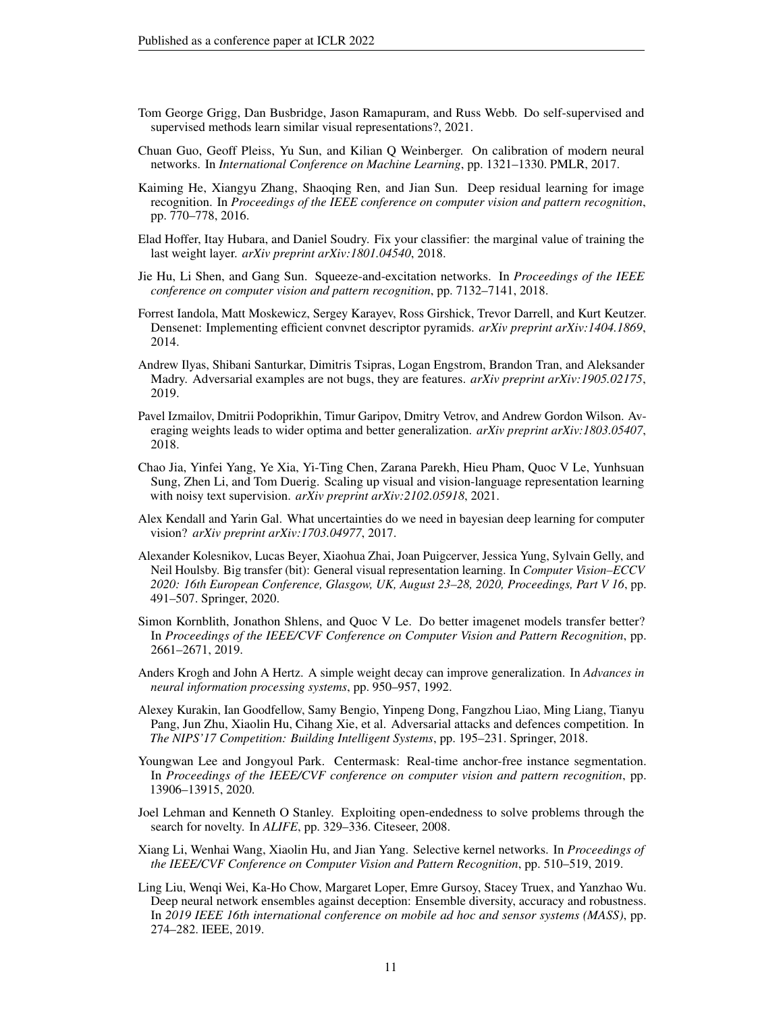- <span id="page-10-12"></span>Tom George Grigg, Dan Busbridge, Jason Ramapuram, and Russ Webb. Do self-supervised and supervised methods learn similar visual representations?, 2021.
- <span id="page-10-11"></span>Chuan Guo, Geoff Pleiss, Yu Sun, and Kilian Q Weinberger. On calibration of modern neural networks. In *International Conference on Machine Learning*, pp. 1321–1330. PMLR, 2017.
- <span id="page-10-14"></span>Kaiming He, Xiangyu Zhang, Shaoqing Ren, and Jian Sun. Deep residual learning for image recognition. In *Proceedings of the IEEE conference on computer vision and pattern recognition*, pp. 770–778, 2016.
- <span id="page-10-1"></span>Elad Hoffer, Itay Hubara, and Daniel Soudry. Fix your classifier: the marginal value of training the last weight layer. *arXiv preprint arXiv:1801.04540*, 2018.
- <span id="page-10-7"></span>Jie Hu, Li Shen, and Gang Sun. Squeeze-and-excitation networks. In *Proceedings of the IEEE conference on computer vision and pattern recognition*, pp. 7132–7141, 2018.
- <span id="page-10-8"></span>Forrest Iandola, Matt Moskewicz, Sergey Karayev, Ross Girshick, Trevor Darrell, and Kurt Keutzer. Densenet: Implementing efficient convnet descriptor pyramids. *arXiv preprint arXiv:1404.1869*, 2014.
- <span id="page-10-0"></span>Andrew Ilyas, Shibani Santurkar, Dimitris Tsipras, Logan Engstrom, Brandon Tran, and Aleksander Madry. Adversarial examples are not bugs, they are features. *arXiv preprint arXiv:1905.02175*, 2019.
- <span id="page-10-5"></span>Pavel Izmailov, Dmitrii Podoprikhin, Timur Garipov, Dmitry Vetrov, and Andrew Gordon Wilson. Averaging weights leads to wider optima and better generalization. *arXiv preprint arXiv:1803.05407*, 2018.
- <span id="page-10-3"></span>Chao Jia, Yinfei Yang, Ye Xia, Yi-Ting Chen, Zarana Parekh, Hieu Pham, Quoc V Le, Yunhsuan Sung, Zhen Li, and Tom Duerig. Scaling up visual and vision-language representation learning with noisy text supervision. *arXiv preprint arXiv:2102.05918*, 2021.
- <span id="page-10-4"></span>Alex Kendall and Yarin Gal. What uncertainties do we need in bayesian deep learning for computer vision? *arXiv preprint arXiv:1703.04977*, 2017.
- <span id="page-10-10"></span>Alexander Kolesnikov, Lucas Beyer, Xiaohua Zhai, Joan Puigcerver, Jessica Yung, Sylvain Gelly, and Neil Houlsby. Big transfer (bit): General visual representation learning. In *Computer Vision–ECCV 2020: 16th European Conference, Glasgow, UK, August 23–28, 2020, Proceedings, Part V 16*, pp. 491–507. Springer, 2020.
- <span id="page-10-2"></span>Simon Kornblith, Jonathon Shlens, and Quoc V Le. Do better imagenet models transfer better? In *Proceedings of the IEEE/CVF Conference on Computer Vision and Pattern Recognition*, pp. 2661–2671, 2019.
- <span id="page-10-15"></span>Anders Krogh and John A Hertz. A simple weight decay can improve generalization. In *Advances in neural information processing systems*, pp. 950–957, 1992.
- <span id="page-10-16"></span>Alexey Kurakin, Ian Goodfellow, Samy Bengio, Yinpeng Dong, Fangzhou Liao, Ming Liang, Tianyu Pang, Jun Zhu, Xiaolin Hu, Cihang Xie, et al. Adversarial attacks and defences competition. In *The NIPS'17 Competition: Building Intelligent Systems*, pp. 195–231. Springer, 2018.
- <span id="page-10-17"></span>Youngwan Lee and Jongyoul Park. Centermask: Real-time anchor-free instance segmentation. In *Proceedings of the IEEE/CVF conference on computer vision and pattern recognition*, pp. 13906–13915, 2020.
- <span id="page-10-13"></span>Joel Lehman and Kenneth O Stanley. Exploiting open-endedness to solve problems through the search for novelty. In *ALIFE*, pp. 329–336. Citeseer, 2008.
- <span id="page-10-9"></span>Xiang Li, Wenhai Wang, Xiaolin Hu, and Jian Yang. Selective kernel networks. In *Proceedings of the IEEE/CVF Conference on Computer Vision and Pattern Recognition*, pp. 510–519, 2019.
- <span id="page-10-6"></span>Ling Liu, Wenqi Wei, Ka-Ho Chow, Margaret Loper, Emre Gursoy, Stacey Truex, and Yanzhao Wu. Deep neural network ensembles against deception: Ensemble diversity, accuracy and robustness. In *2019 IEEE 16th international conference on mobile ad hoc and sensor systems (MASS)*, pp. 274–282. IEEE, 2019.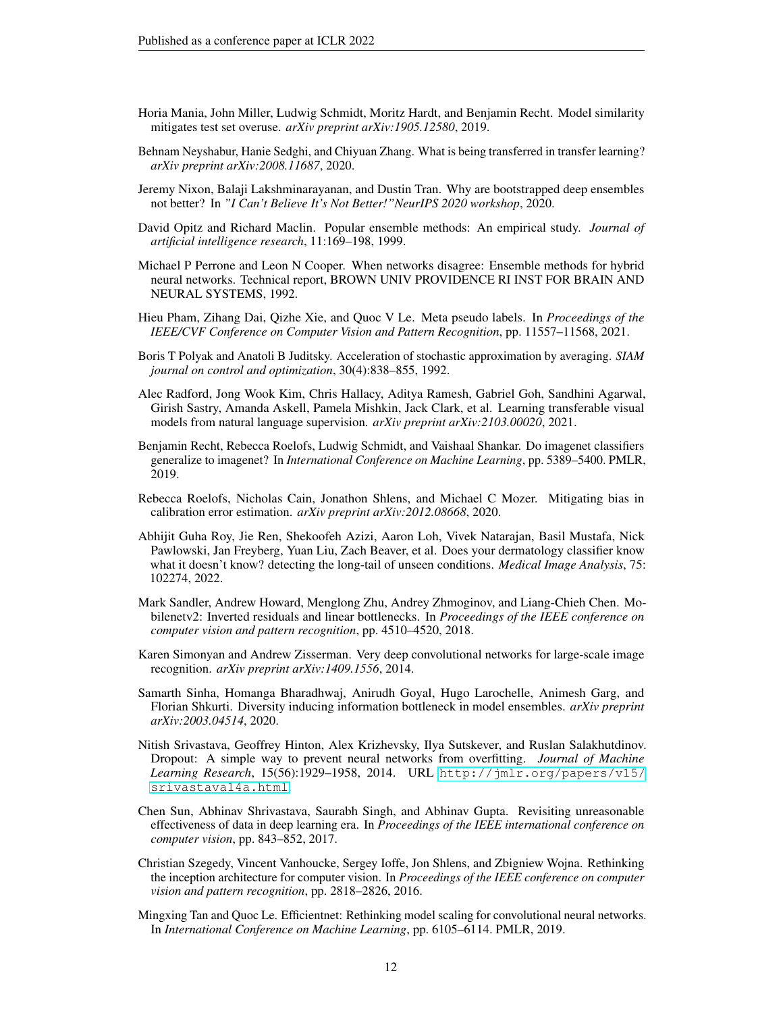- <span id="page-11-0"></span>Horia Mania, John Miller, Ludwig Schmidt, Moritz Hardt, and Benjamin Recht. Model similarity mitigates test set overuse. *arXiv preprint arXiv:1905.12580*, 2019.
- <span id="page-11-4"></span>Behnam Neyshabur, Hanie Sedghi, and Chiyuan Zhang. What is being transferred in transfer learning? *arXiv preprint arXiv:2008.11687*, 2020.
- <span id="page-11-1"></span>Jeremy Nixon, Balaji Lakshminarayanan, and Dustin Tran. Why are bootstrapped deep ensembles not better? In *"I Can't Believe It's Not Better!"NeurIPS 2020 workshop*, 2020.
- <span id="page-11-3"></span>David Opitz and Richard Maclin. Popular ensemble methods: An empirical study. *Journal of artificial intelligence research*, 11:169–198, 1999.
- <span id="page-11-2"></span>Michael P Perrone and Leon N Cooper. When networks disagree: Ensemble methods for hybrid neural networks. Technical report, BROWN UNIV PROVIDENCE RI INST FOR BRAIN AND NEURAL SYSTEMS, 1992.
- <span id="page-11-12"></span>Hieu Pham, Zihang Dai, Qizhe Xie, and Quoc V Le. Meta pseudo labels. In *Proceedings of the IEEE/CVF Conference on Computer Vision and Pattern Recognition*, pp. 11557–11568, 2021.
- <span id="page-11-15"></span>Boris T Polyak and Anatoli B Juditsky. Acceleration of stochastic approximation by averaging. *SIAM journal on control and optimization*, 30(4):838–855, 1992.
- <span id="page-11-5"></span>Alec Radford, Jong Wook Kim, Chris Hallacy, Aditya Ramesh, Gabriel Goh, Sandhini Agarwal, Girish Sastry, Amanda Askell, Pamela Mishkin, Jack Clark, et al. Learning transferable visual models from natural language supervision. *arXiv preprint arXiv:2103.00020*, 2021.
- <span id="page-11-6"></span>Benjamin Recht, Rebecca Roelofs, Ludwig Schmidt, and Vaishaal Shankar. Do imagenet classifiers generalize to imagenet? In *International Conference on Machine Learning*, pp. 5389–5400. PMLR, 2019.
- <span id="page-11-14"></span>Rebecca Roelofs, Nicholas Cain, Jonathon Shlens, and Michael C Mozer. Mitigating bias in calibration error estimation. *arXiv preprint arXiv:2012.08668*, 2020.
- <span id="page-11-16"></span>Abhijit Guha Roy, Jie Ren, Shekoofeh Azizi, Aaron Loh, Vivek Natarajan, Basil Mustafa, Nick Pawlowski, Jan Freyberg, Yuan Liu, Zach Beaver, et al. Does your dermatology classifier know what it doesn't know? detecting the long-tail of unseen conditions. *Medical Image Analysis*, 75: 102274, 2022.
- <span id="page-11-11"></span>Mark Sandler, Andrew Howard, Menglong Zhu, Andrey Zhmoginov, and Liang-Chieh Chen. Mobilenetv2: Inverted residuals and linear bottlenecks. In *Proceedings of the IEEE conference on computer vision and pattern recognition*, pp. 4510–4520, 2018.
- <span id="page-11-10"></span>Karen Simonyan and Andrew Zisserman. Very deep convolutional networks for large-scale image recognition. *arXiv preprint arXiv:1409.1556*, 2014.
- <span id="page-11-17"></span>Samarth Sinha, Homanga Bharadhwaj, Anirudh Goyal, Hugo Larochelle, Animesh Garg, and Florian Shkurti. Diversity inducing information bottleneck in model ensembles. *arXiv preprint arXiv:2003.04514*, 2020.
- <span id="page-11-7"></span>Nitish Srivastava, Geoffrey Hinton, Alex Krizhevsky, Ilya Sutskever, and Ruslan Salakhutdinov. Dropout: A simple way to prevent neural networks from overfitting. *Journal of Machine Learning Research*, 15(56):1929–1958, 2014. URL [http://jmlr.org/papers/v15/](http://jmlr.org/papers/v15/srivastava14a.html) [srivastava14a.html](http://jmlr.org/papers/v15/srivastava14a.html).
- <span id="page-11-13"></span>Chen Sun, Abhinav Shrivastava, Saurabh Singh, and Abhinav Gupta. Revisiting unreasonable effectiveness of data in deep learning era. In *Proceedings of the IEEE international conference on computer vision*, pp. 843–852, 2017.
- <span id="page-11-8"></span>Christian Szegedy, Vincent Vanhoucke, Sergey Ioffe, Jon Shlens, and Zbigniew Wojna. Rethinking the inception architecture for computer vision. In *Proceedings of the IEEE conference on computer vision and pattern recognition*, pp. 2818–2826, 2016.
- <span id="page-11-9"></span>Mingxing Tan and Quoc Le. Efficientnet: Rethinking model scaling for convolutional neural networks. In *International Conference on Machine Learning*, pp. 6105–6114. PMLR, 2019.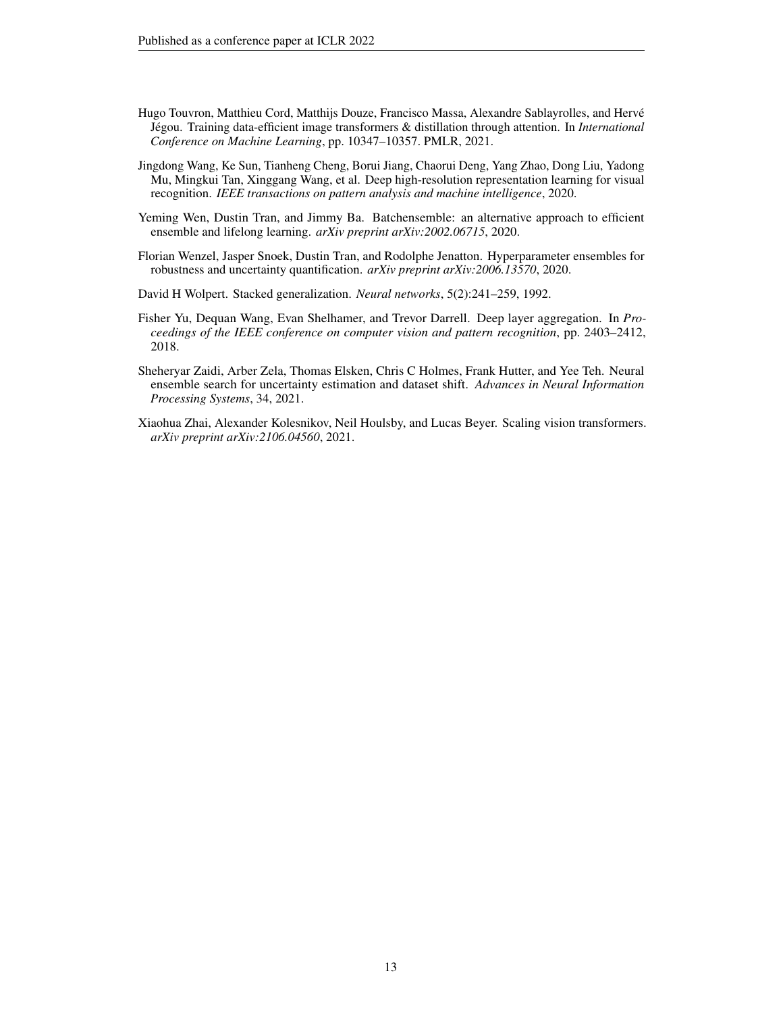- <span id="page-12-7"></span>Hugo Touvron, Matthieu Cord, Matthijs Douze, Francisco Massa, Alexandre Sablayrolles, and Hervé Jégou. Training data-efficient image transformers & distillation through attention. In *International Conference on Machine Learning*, pp. 10347–10357. PMLR, 2021.
- <span id="page-12-5"></span>Jingdong Wang, Ke Sun, Tianheng Cheng, Borui Jiang, Chaorui Deng, Yang Zhao, Dong Liu, Yadong Mu, Mingkui Tan, Xinggang Wang, et al. Deep high-resolution representation learning for visual recognition. *IEEE transactions on pattern analysis and machine intelligence*, 2020.
- <span id="page-12-0"></span>Yeming Wen, Dustin Tran, and Jimmy Ba. Batchensemble: an alternative approach to efficient ensemble and lifelong learning. *arXiv preprint arXiv:2002.06715*, 2020.
- <span id="page-12-1"></span>Florian Wenzel, Jasper Snoek, Dustin Tran, and Rodolphe Jenatton. Hyperparameter ensembles for robustness and uncertainty quantification. *arXiv preprint arXiv:2006.13570*, 2020.
- <span id="page-12-4"></span>David H Wolpert. Stacked generalization. *Neural networks*, 5(2):241–259, 1992.
- <span id="page-12-6"></span>Fisher Yu, Dequan Wang, Evan Shelhamer, and Trevor Darrell. Deep layer aggregation. In *Proceedings of the IEEE conference on computer vision and pattern recognition*, pp. 2403–2412, 2018.
- <span id="page-12-2"></span>Sheheryar Zaidi, Arber Zela, Thomas Elsken, Chris C Holmes, Frank Hutter, and Yee Teh. Neural ensemble search for uncertainty estimation and dataset shift. *Advances in Neural Information Processing Systems*, 34, 2021.
- <span id="page-12-3"></span>Xiaohua Zhai, Alexander Kolesnikov, Neil Houlsby, and Lucas Beyer. Scaling vision transformers. *arXiv preprint arXiv:2106.04560*, 2021.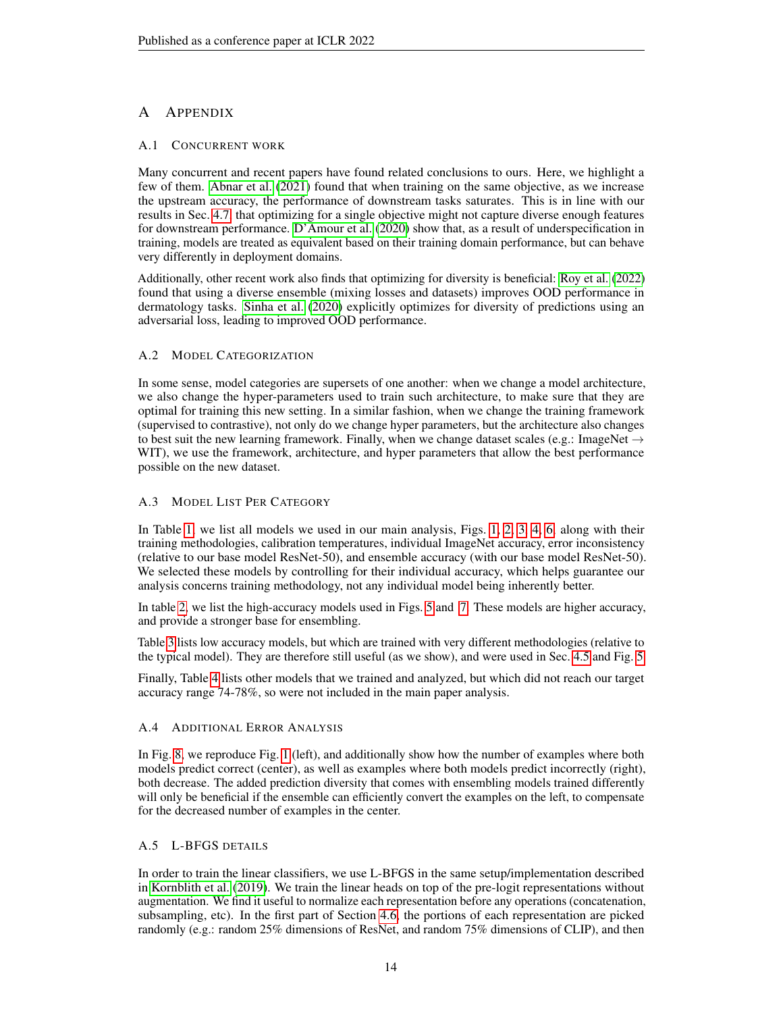# A APPENDIX

# A.1 CONCURRENT WORK

Many concurrent and recent papers have found related conclusions to ours. Here, we highlight a few of them. [Abnar et al.](#page-9-12) [\(2021\)](#page-9-12) found that when training on the same objective, as we increase the upstream accuracy, the performance of downstream tasks saturates. This is in line with our results in Sec. [4.7,](#page-7-1) that optimizing for a single objective might not capture diverse enough features for downstream performance. [D'Amour et al.](#page-9-13) [\(2020\)](#page-9-13) show that, as a result of underspecification in training, models are treated as equivalent based on their training domain performance, but can behave very differently in deployment domains.

Additionally, other recent work also finds that optimizing for diversity is beneficial: [Roy et al.](#page-11-16) [\(2022\)](#page-11-16) found that using a diverse ensemble (mixing losses and datasets) improves OOD performance in dermatology tasks. [Sinha et al.](#page-11-17) [\(2020\)](#page-11-17) explicitly optimizes for diversity of predictions using an adversarial loss, leading to improved OOD performance.

# A.2 MODEL CATEGORIZATION

In some sense, model categories are supersets of one another: when we change a model architecture, we also change the hyper-parameters used to train such architecture, to make sure that they are optimal for training this new setting. In a similar fashion, when we change the training framework (supervised to contrastive), not only do we change hyper parameters, but the architecture also changes to best suit the new learning framework. Finally, when we change dataset scales (e.g.: ImageNet  $\rightarrow$ WIT), we use the framework, architecture, and hyper parameters that allow the best performance possible on the new dataset.

# A.3 MODEL LIST PER CATEGORY

In Table [1,](#page-14-0) we list all models we used in our main analysis, Figs. [1,](#page-3-0) [2,](#page-4-0) [3,](#page-5-0) [4,](#page-5-1) [6,](#page-7-0) along with their training methodologies, calibration temperatures, individual ImageNet accuracy, error inconsistency (relative to our base model ResNet-50), and ensemble accuracy (with our base model ResNet-50). We selected these models by controlling for their individual accuracy, which helps guarantee our analysis concerns training methodology, not any individual model being inherently better.

In table [2,](#page-14-1) we list the high-accuracy models used in Figs. [5](#page-6-0) and [7.](#page-8-0) These models are higher accuracy, and provide a stronger base for ensembling.

Table [3](#page-14-2) lists low accuracy models, but which are trained with very different methodologies (relative to the typical model). They are therefore still useful (as we show), and were used in Sec. [4.5](#page-6-1) and Fig. [5.](#page-6-0)

Finally, Table [4](#page-15-0) lists other models that we trained and analyzed, but which did not reach our target accuracy range 74-78%, so were not included in the main paper analysis.

#### A.4 ADDITIONAL ERROR ANALYSIS

In Fig. [8,](#page-15-1) we reproduce Fig. [1](#page-3-0) (left), and additionally show how the number of examples where both models predict correct (center), as well as examples where both models predict incorrectly (right), both decrease. The added prediction diversity that comes with ensembling models trained differently will only be beneficial if the ensemble can efficiently convert the examples on the left, to compensate for the decreased number of examples in the center.

#### A.5 L-BFGS DETAILS

In order to train the linear classifiers, we use L-BFGS in the same setup/implementation described in [Kornblith et al.](#page-10-2) [\(2019\)](#page-10-2). We train the linear heads on top of the pre-logit representations without augmentation. We find it useful to normalize each representation before any operations (concatenation, subsampling, etc). In the first part of Section [4.6,](#page-6-2) the portions of each representation are picked randomly (e.g.: random 25% dimensions of ResNet, and random 75% dimensions of CLIP), and then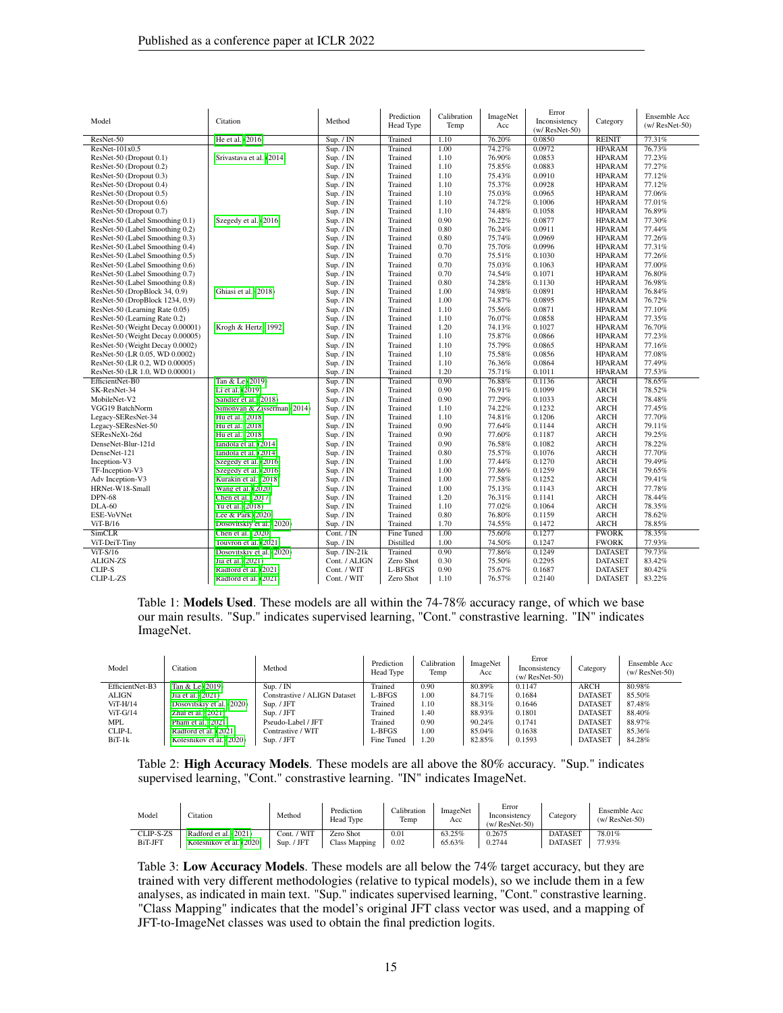| Model                            | Citation                    | Method        | Prediction<br>Head Type | Calibration<br>Temp | ImageNet<br>Acc | Error<br>Inconsistency<br>$(w/ResNet-50)$ | Category       | Ensemble Acc<br>$(w/ResNet-50)$ |
|----------------------------------|-----------------------------|---------------|-------------------------|---------------------|-----------------|-------------------------------------------|----------------|---------------------------------|
| ResNet-50                        | He et al. (2016)            | Sup. / IN     | Trained                 | 1.10                | 76.20%          | 0.0850                                    | <b>REINIT</b>  | 77.31%                          |
| ResNet-101x0.5                   |                             | Sup. / IN     | Trained                 | 1.00                | 74.27%          | 0.0972                                    | <b>HPARAM</b>  | 76.73%                          |
| ResNet-50 (Dropout 0.1)          | Srivastava et al. (2014)    | Sup. / IN     | Trained                 | 1.10                | 76.90%          | 0.0853                                    | <b>HPARAM</b>  | 77.23%                          |
| ResNet-50 (Dropout 0.2)          |                             | Sup. / IN     | Trained                 | 1.10                | 75.85%          | 0.0883                                    | <b>HPARAM</b>  | 77.27%                          |
| ResNet-50 (Dropout 0.3)          |                             | Sup. / IN     | Trained                 | 1.10                | 75.43%          | 0.0910                                    | <b>HPARAM</b>  | 77.12%                          |
| ResNet-50 (Dropout 0.4)          |                             | Sup. / IN     | Trained                 | 1.10                | 75.37%          | 0.0928                                    | <b>HPARAM</b>  | 77.12%                          |
| ResNet-50 (Dropout 0.5)          |                             | Sup. / IN     | Trained                 | 1.10                | 75.03%          | 0.0965                                    | <b>HPARAM</b>  | 77.06%                          |
| ResNet-50 (Dropout 0.6)          |                             | Sup. / IN     | Trained                 | 1.10                | 74.72%          | 0.1006                                    | <b>HPARAM</b>  | 77.01%                          |
| ResNet-50 (Dropout 0.7)          |                             | Sup. / IN     | Trained                 | 1.10                | 74.48%          | 0.1058                                    | <b>HPARAM</b>  | 76.89%                          |
| ResNet-50 (Label Smoothing 0.1)  | Szegedy et al. (2016)       | Sup. / IN     | Trained                 | 0.90                | 76.22%          | 0.0877                                    | <b>HPARAM</b>  | 77.30%                          |
| ResNet-50 (Label Smoothing 0.2)  |                             | Sup. / IN     | Trained                 | 0.80                | 76.24%          | 0.0911                                    | <b>HPARAM</b>  | 77.44%                          |
| ResNet-50 (Label Smoothing 0.3)  |                             | Sup. / IN     | Trained                 | 0.80                | 75.74%          | 0.0969                                    | <b>HPARAM</b>  | 77.26%                          |
| ResNet-50 (Label Smoothing 0.4)  |                             | Sup. / IN     | Trained                 | 0.70                | 75.70%          | 0.0996                                    | <b>HPARAM</b>  | 77.31%                          |
| ResNet-50 (Label Smoothing 0.5)  |                             | Sup. / IN     | Trained                 | 0.70                | 75.51%          | 0.1030                                    | <b>HPARAM</b>  | 77.26%                          |
| ResNet-50 (Label Smoothing 0.6)  |                             | Sup. / IN     | Trained                 | 0.70                | 75.03%          | 0.1063                                    | <b>HPARAM</b>  | 77.00%                          |
| ResNet-50 (Label Smoothing 0.7)  |                             | Sup. / IN     | Trained                 | 0.70                | 74.54%          | 0.1071                                    | <b>HPARAM</b>  | 76.80%                          |
| ResNet-50 (Label Smoothing 0.8)  |                             | Sup. / IN     | Trained                 | 0.80                | 74.28%          | 0.1130                                    | <b>HPARAM</b>  | 76.98%                          |
| ResNet-50 (DropBlock 34, 0.9)    | Ghiasi et al. (2018)        | Sup. / IN     | Trained                 | 1.00                | 74.98%          | 0.0891                                    | <b>HPARAM</b>  | 76.84%                          |
|                                  |                             |               | Trained                 | 1.00                | 74.87%          | 0.0895                                    | <b>HPARAM</b>  | 76.72%                          |
| ResNet-50 (DropBlock 1234, 0.9)  |                             | Sup. / IN     | Trained                 | 1.10                |                 |                                           |                |                                 |
| ResNet-50 (Learning Rate 0.05)   |                             | Sup. / IN     |                         |                     | 75.56%          | 0.0871                                    | <b>HPARAM</b>  | 77.10%                          |
| ResNet-50 (Learning Rate 0.2)    |                             | Sup. / IN     | Trained                 | 1.10<br>1.20        | 76.07%          | 0.0858<br>0.1027                          | <b>HPARAM</b>  | 77.35%                          |
| ResNet-50 (Weight Decay 0.00001) | Krogh & Hertz (1992)        | Sup. / IN     | Trained                 |                     | 74.13%          |                                           | <b>HPARAM</b>  | 76.70%                          |
| ResNet-50 (Weight Decay 0.00005) |                             | Sup. / IN     | Trained                 | 1.10                | 75.87%          | 0.0866                                    | <b>HPARAM</b>  | 77.23%                          |
| ResNet-50 (Weight Decay 0.0002)  |                             | Sup. / IN     | Trained                 | 1.10                | 75.79%          | 0.0865                                    | <b>HPARAM</b>  | 77.16%                          |
| ResNet-50 (LR 0.05, WD 0.0002)   |                             | Sup. / IN     | Trained                 | 1.10                | 75.58%          | 0.0856                                    | <b>HPARAM</b>  | 77.08%                          |
| ResNet-50 (LR 0.2, WD 0.00005)   |                             | Sup. / IN     | Trained                 | 1.10                | 76.36%          | 0.0864                                    | <b>HPARAM</b>  | 77.49%                          |
| ResNet-50 (LR 1.0, WD 0.00001)   |                             | Sup. / IN     | Trained                 | 1.20                | 75.71%          | 0.1011                                    | <b>HPARAM</b>  | 77.53%                          |
| EfficientNet-B0                  | Tan & Le (2019)             | Sup. / IN     | Trained                 | 0.90                | 76.88%          | 0.1136                                    | <b>ARCH</b>    | 78.65%                          |
| SK-ResNet-34                     | Li et al. (2019)            | Sup. / IN     | Trained                 | 0.90                | 76.91%          | 0.1099                                    | ARCH           | 78.52%                          |
| MobileNet-V2                     | Sandler et al. (2018)       | Sup. / IN     | Trained                 | 0.90                | 77.29%          | 0.1033                                    | <b>ARCH</b>    | 78.48%                          |
| VGG19 BatchNorm                  | Simonyan & Zisserman (2014) | Sup. / IN     | Trained                 | 1.10                | 74.22%          | 0.1232                                    | ARCH           | 77.45%                          |
| Legacy-SEResNet-34               | Hu et al. (2018)            | Sup. / IN     | Trained                 | 1.10                | 74.81%          | 0.1206                                    | <b>ARCH</b>    | 77.70%                          |
| Legacy-SEResNet-50               | Hu et al. (2018)            | Sup. / IN     | Trained                 | 0.90                | 77.64%          | 0.1144                                    | <b>ARCH</b>    | 79.11%                          |
| SEResNeXt-26d                    | Hu et al. (2018)            | Sup. / IN     | Trained                 | 0.90                | 77.60%          | 0.1187                                    | ARCH           | 79.25%                          |
| DenseNet-Blur-121d               | Iandola et al. (2014)       | Sup. / IN     | Trained                 | 0.90                | 76.58%          | 0.1082                                    | <b>ARCH</b>    | 78.22%                          |
| DenseNet-121                     | Iandola et al. (2014)       | Sup. / IN     | Trained                 | 0.80                | 75.57%          | 0.1076                                    | <b>ARCH</b>    | 77.70%                          |
| Inception-V3                     | Szegedy et al. (2016)       | Sup. / IN     | Trained                 | 1.00                | 77.44%          | 0.1270                                    | <b>ARCH</b>    | 79.49%                          |
| TF-Inception-V3                  | Szegedy et al. (2016)       | Sup. / IN     | Trained                 | 1.00                | 77.86%          | 0.1259                                    | ARCH           | 79.65%                          |
| Adv Inception-V3                 | Kurakin et al. (2018)       | Sup. / IN     | Trained                 | 1.00                | 77.58%          | 0.1252                                    | <b>ARCH</b>    | 79.41%                          |
| HRNet-W18-Small                  | Wang et al. (2020)          | Sup. / IN     | Trained                 | 1.00                | 75.13%          | 0.1143                                    | <b>ARCH</b>    | 77.78%                          |
| <b>DPN-68</b>                    | Chen et al. (2017)          | Sup. / IN     | Trained                 | 1.20                | 76.31%          | 0.1141                                    | <b>ARCH</b>    | 78.44%                          |
| $DLA-60$                         | Yu et al. (2018)            | Sup. / IN     | Trained                 | 1.10                | 77.02%          | 0.1064                                    | ARCH           | 78.35%                          |
| ESE-VoVNet                       | Lee & Park (2020)           | Sup. / IN     | Trained                 | 0.80                | 76.80%          | 0.1159                                    | <b>ARCH</b>    | 78.62%                          |
| $ViT-B/16$                       | Dosovitskiy et al. (2020)   | Sup. $/$ IN   | Trained                 | 1.70                | 74.55%          | 0.1472                                    | ARCH           | 78.85%                          |
| SimCLR                           | Chen et al. (2020)          | Cont. / IN    | <b>Fine Tuned</b>       | 1.00                | 75.60%          | 0.1277                                    | <b>FWORK</b>   | 78.35%                          |
| ViT-DeiT-Tiny                    | Touvron et al. (2021)       | Sup. / IN     | Distilled               | 1.00                | 74.50%          | 0.1247                                    | <b>FWORK</b>   | 77.93%                          |
| ViT-S/16                         | Dosovitskiy et al. (2020)   | Sup. / IN-21k | Trained                 | 0.90                | 77.86%          | 0.1249                                    | <b>DATASET</b> | 79.73%                          |
| <b>ALIGN-ZS</b>                  | Jia et al. (2021)           | Cont. / ALIGN | Zero Shot               | 0.30                | 75.50%          | 0.2295                                    | <b>DATASET</b> | 83.42%                          |
| CLIP-S                           | Radford et al. (2021)       | Cont. / WIT   | L-BFGS                  | 0.90                | 75.67%          | 0.1687                                    | <b>DATASET</b> | 80.42%                          |
| CLIP-L-ZS                        | Radford et al. (2021)       | Cont. / WIT   | Zero Shot               | 1.10                | 76.57%          | 0.2140                                    | <b>DATASET</b> | 83.22%                          |

<span id="page-14-0"></span>Table 1: Models Used. These models are all within the 74-78% accuracy range, of which we base our main results. "Sup." indicates supervised learning, "Cont." constrastive learning. "IN" indicates ImageNet.

| Model           | Citation                  | Method                       | Prediction<br>Head Type | Calibration<br>Temp | ImageNet<br>Acc | Error<br>Inconsistency<br>$(w/ResNet-50)$ | Category       | Ensemble Acc<br>$(w/ResNet-50)$ |
|-----------------|---------------------------|------------------------------|-------------------------|---------------------|-----------------|-------------------------------------------|----------------|---------------------------------|
| EfficientNet-B3 | Tan & Le (2019)           | Sun. / IN                    | Trained                 | 0.90                | 80.89%          | 0.1147                                    | <b>ARCH</b>    | 80.98%                          |
| ALIGN           | Jia et al. (2021)         | Constrastive / ALIGN Dataset | L-BFGS                  | 1.00                | 84.71%          | 0.1684                                    | <b>DATASET</b> | 85.50%                          |
| $ViT-H/14$      | Dosovitskiy et al. (2020) | Sup. / JFT                   | Trained                 | 1.10                | 88.31%          | 0.1646                                    | <b>DATASET</b> | 87.48%                          |
| $ViT-G/14$      | Zhai et al. (2021)        | Sup. / JFT                   | Trained                 | 1.40                | 88.93%          | 0.1801                                    | <b>DATASET</b> | 88.40%                          |
| MPL             | Pham et al. $(2021)$      | Pseudo-Label / JFT           | Trained                 | 0.90                | 90.24%          | 0.1741                                    | <b>DATASET</b> | 88.97%                          |
| CLIP-L          | Radford et al. (2021)     | Contrastive / WIT            | L-BFGS                  | 1.00                | 85.04%          | 0.1638                                    | <b>DATASET</b> | 85.36%                          |
| $BiT-1k$        | Kolesnikov et al. (2020)  | Sup. / JFT                   | Fine Tuned              | 1.20                | 82.85%          | 0.1593                                    | <b>DATASET</b> | 84.28%                          |

<span id="page-14-1"></span>Table 2: High Accuracy Models. These models are all above the 80% accuracy. "Sup." indicates supervised learning, "Cont." constrastive learning. "IN" indicates ImageNet.

| Model                       | Citation                                          | Method                         | Prediction<br><b>Head Type</b> | Calibration<br>Temp | ImageNet<br>Acc  | Error<br>Inconsistency<br>$(w/ResNet-50)$ | Category                         | Ensemble Acc<br>$(w/ResNet-50)$ |
|-----------------------------|---------------------------------------------------|--------------------------------|--------------------------------|---------------------|------------------|-------------------------------------------|----------------------------------|---------------------------------|
| CLIP-S-ZS<br><b>BiT-JFT</b> | Radford et al. (2021)<br>Kolesnikov et al. (2020) | ' WIT<br>Cont. /<br>Sup. / JFT | Zero Shot<br>Class Mapping     | 0.01<br>0.02        | 63.25%<br>65.63% | 0.2675<br>0.2744                          | <b>DATASET</b><br><b>DATASET</b> | 78.01%<br>77.93%                |

<span id="page-14-2"></span>Table 3: Low Accuracy Models. These models are all below the 74% target accuracy, but they are trained with very different methodologies (relative to typical models), so we include them in a few analyses, as indicated in main text. "Sup." indicates supervised learning, "Cont." constrastive learning. "Class Mapping" indicates that the model's original JFT class vector was used, and a mapping of JFT-to-ImageNet classes was used to obtain the final prediction logits.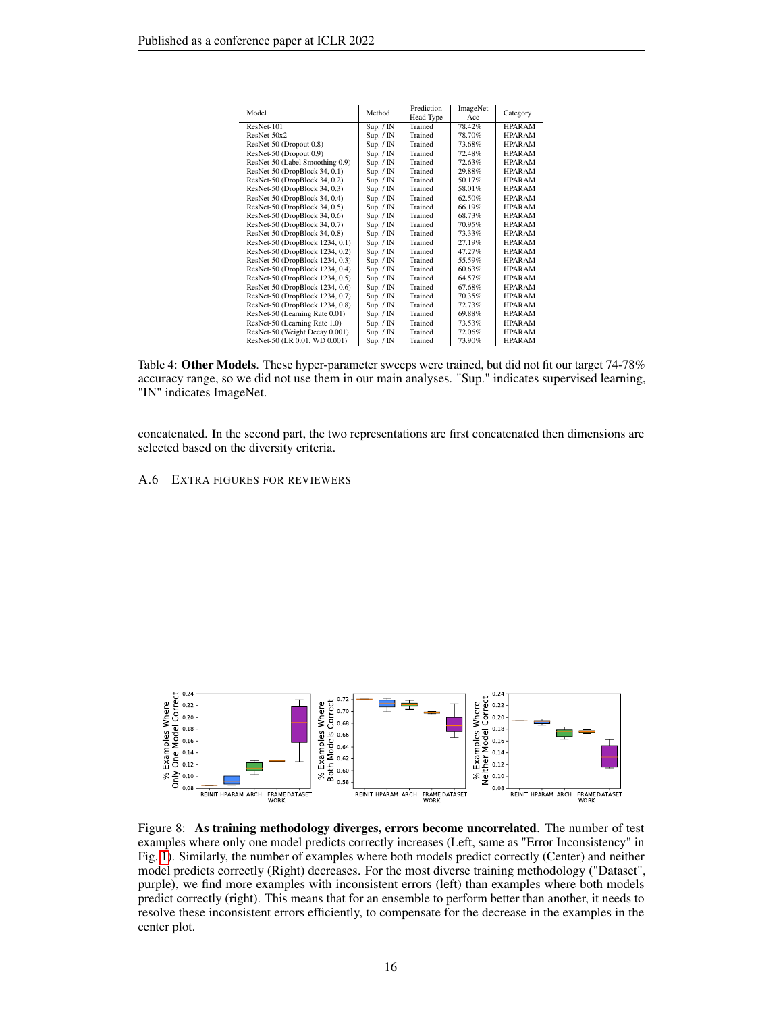| Model                           | Method                 | Prediction<br>Head Type | ImageNet<br>Acc | Category      |
|---------------------------------|------------------------|-------------------------|-----------------|---------------|
| ResNet-101                      | Sup. $/ \overline{IN}$ | Trained                 | 78.42%          | <b>HPARAM</b> |
| $ResNet-50x2$                   | Sup. / IN              | Trained                 | 78.70%          | <b>HPARAM</b> |
| ResNet-50 (Dropout 0.8)         | Sup. / IN              | Trained                 | 73.68%          | <b>HPARAM</b> |
| ResNet-50 (Dropout 0.9)         | Sup. / IN              | Trained                 | 72.48%          | <b>HPARAM</b> |
| ResNet-50 (Label Smoothing 0.9) | Sup. / IN              | Trained                 | 72.63%          | <b>HPARAM</b> |
| ResNet-50 (DropBlock 34, 0.1)   | Sup. / IN              | Trained                 | 29.88%          | <b>HPARAM</b> |
| ResNet-50 (DropBlock 34, 0.2)   | Sup. / IN              | Trained                 | 50.17%          | <b>HPARAM</b> |
| ResNet-50 (DropBlock 34, 0.3)   | Sup. / IN              | Trained                 | 58.01%          | <b>HPARAM</b> |
| ResNet-50 (DropBlock 34, 0.4)   | Sup. / IN              | Trained                 | 62.50%          | <b>HPARAM</b> |
| ResNet-50 (DropBlock 34, 0.5)   | Sup. / IN              | Trained                 | 66.19%          | <b>HPARAM</b> |
| ResNet-50 (DropBlock 34, 0.6)   | Sup. / IN              | Trained                 | 68.73%          | <b>HPARAM</b> |
| ResNet-50 (DropBlock 34, 0.7)   | Sup. / IN              | Trained                 | 70.95%          | <b>HPARAM</b> |
| ResNet-50 (DropBlock 34, 0.8)   | Sup. / IN              | Trained                 | 73.33%          | <b>HPARAM</b> |
| ResNet-50 (DropBlock 1234, 0.1) | Sup. / IN              | Trained                 | 27.19%          | <b>HPARAM</b> |
| ResNet-50 (DropBlock 1234, 0.2) | Sup. / IN              | Trained                 | 47.27%          | <b>HPARAM</b> |
| ResNet-50 (DropBlock 1234, 0.3) | Sup. / IN              | Trained                 | 55.59%          | <b>HPARAM</b> |
| ResNet-50 (DropBlock 1234, 0.4) | Sup. / IN              | Trained                 | 60.63%          | <b>HPARAM</b> |
| ResNet-50 (DropBlock 1234, 0.5) | Sup. / IN              | Trained                 | 64.57%          | <b>HPARAM</b> |
| ResNet-50 (DropBlock 1234, 0.6) | Sup. / IN              | Trained                 | 67.68%          | <b>HPARAM</b> |
| ResNet-50 (DropBlock 1234, 0.7) | Sup. / IN              | Trained                 | 70.35%          | <b>HPARAM</b> |
| ResNet-50 (DropBlock 1234, 0.8) | Sup. / IN              | Trained                 | 72.73%          | <b>HPARAM</b> |
| ResNet-50 (Learning Rate 0.01)  | Sup. $/$ IN            | Trained                 | 69.88%          | <b>HPARAM</b> |
| ResNet-50 (Learning Rate 1.0)   | Sup. / IN              | Trained                 | 73.53%          | <b>HPARAM</b> |
| ResNet-50 (Weight Decay 0.001)  | Sup. / IN              | Trained                 | 72.06%          | <b>HPARAM</b> |
| ResNet-50 (LR 0.01, WD 0.001)   | Sup. / IN              | Trained                 | 73.90%          | <b>HPARAM</b> |

<span id="page-15-0"></span>Table 4: Other Models. These hyper-parameter sweeps were trained, but did not fit our target 74-78% accuracy range, so we did not use them in our main analyses. "Sup." indicates supervised learning, "IN" indicates ImageNet.

concatenated. In the second part, the two representations are first concatenated then dimensions are selected based on the diversity criteria.

A.6 EXTRA FIGURES FOR REVIEWERS



<span id="page-15-1"></span>Figure 8: As training methodology diverges, errors become uncorrelated. The number of test examples where only one model predicts correctly increases (Left, same as "Error Inconsistency" in Fig. [1\)](#page-3-0). Similarly, the number of examples where both models predict correctly (Center) and neither model predicts correctly (Right) decreases. For the most diverse training methodology ("Dataset", purple), we find more examples with inconsistent errors (left) than examples where both models predict correctly (right). This means that for an ensemble to perform better than another, it needs to resolve these inconsistent errors efficiently, to compensate for the decrease in the examples in the center plot.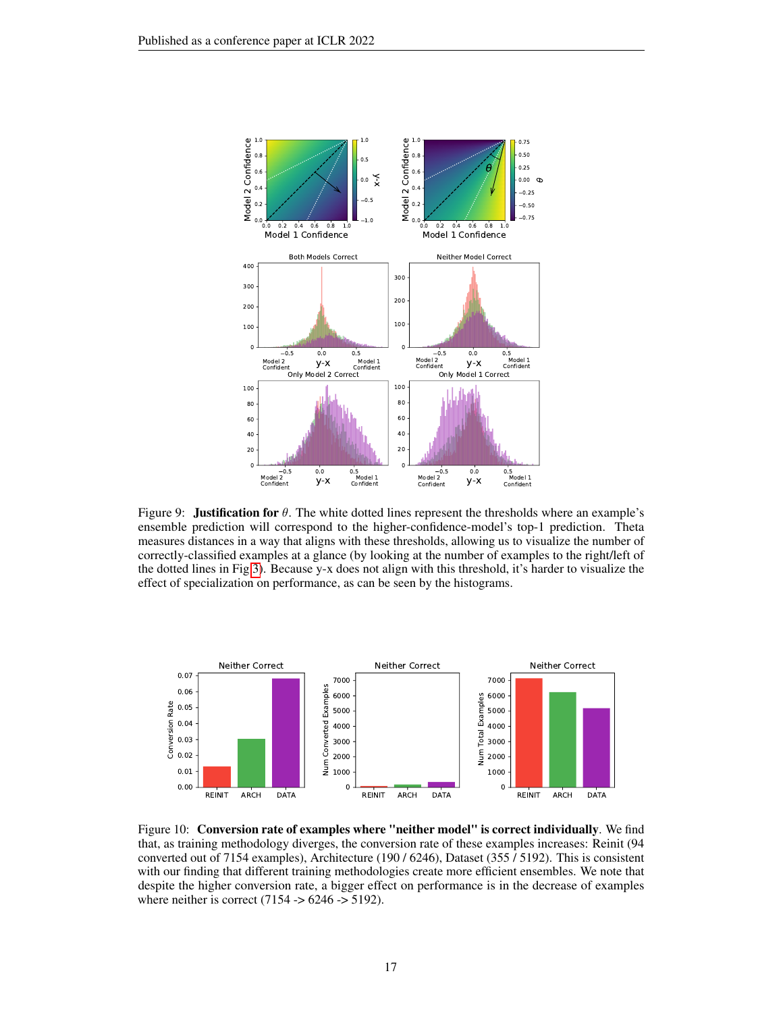

Figure 9: **Justification for**  $\theta$ . The white dotted lines represent the thresholds where an example's ensemble prediction will correspond to the higher-confidence-model's top-1 prediction. Theta measures distances in a way that aligns with these thresholds, allowing us to visualize the number of correctly-classified examples at a glance (by looking at the number of examples to the right/left of the dotted lines in Fig [3\)](#page-5-0). Because y-x does not align with this threshold, it's harder to visualize the effect of specialization on performance, as can be seen by the histograms.



Figure 10: Conversion rate of examples where "neither model" is correct individually. We find that, as training methodology diverges, the conversion rate of these examples increases: Reinit (94 converted out of 7154 examples), Architecture (190 / 6246), Dataset (355 / 5192). This is consistent with our finding that different training methodologies create more efficient ensembles. We note that despite the higher conversion rate, a bigger effect on performance is in the decrease of examples where neither is correct  $(7154 - 6246 - 5192)$ .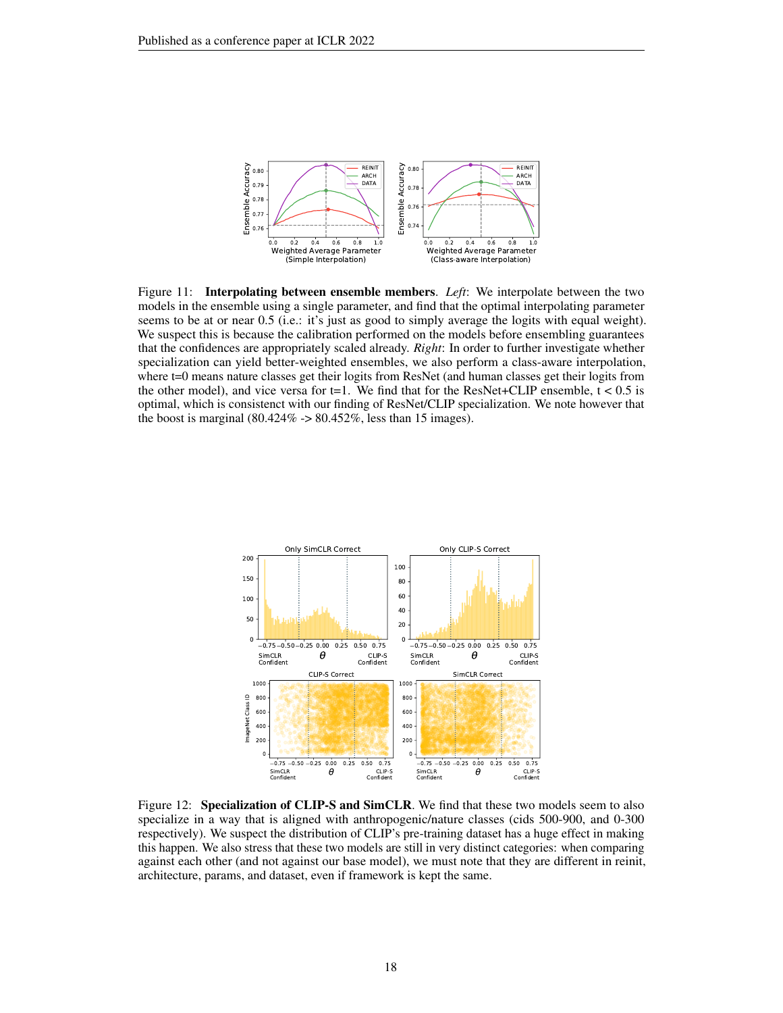

Figure 11: Interpolating between ensemble members. *Left*: We interpolate between the two models in the ensemble using a single parameter, and find that the optimal interpolating parameter seems to be at or near 0.5 (i.e.: it's just as good to simply average the logits with equal weight). We suspect this is because the calibration performed on the models before ensembling guarantees that the confidences are appropriately scaled already. *Right*: In order to further investigate whether specialization can yield better-weighted ensembles, we also perform a class-aware interpolation, where t=0 means nature classes get their logits from ResNet (and human classes get their logits from the other model), and vice versa for t=1. We find that for the ResNet+CLIP ensemble,  $t < 0.5$  is optimal, which is consistenct with our finding of ResNet/CLIP specialization. We note however that the boost is marginal  $(80.424\% \rightarrow 80.452\%$ , less than 15 images).



Figure 12: Specialization of CLIP-S and SimCLR. We find that these two models seem to also specialize in a way that is aligned with anthropogenic/nature classes (cids 500-900, and 0-300 respectively). We suspect the distribution of CLIP's pre-training dataset has a huge effect in making this happen. We also stress that these two models are still in very distinct categories: when comparing against each other (and not against our base model), we must note that they are different in reinit, architecture, params, and dataset, even if framework is kept the same.